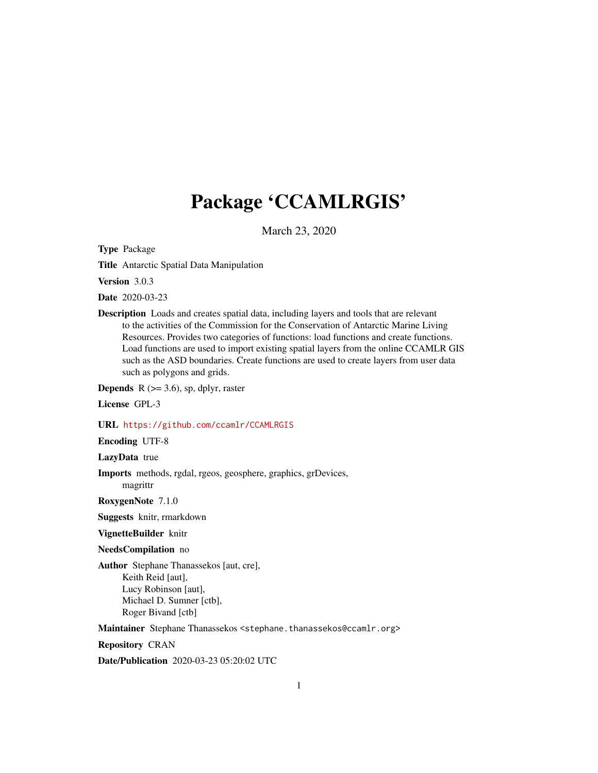# Package 'CCAMLRGIS'

March 23, 2020

<span id="page-0-0"></span>Type Package

Title Antarctic Spatial Data Manipulation

Version 3.0.3

Date 2020-03-23

Description Loads and creates spatial data, including layers and tools that are relevant to the activities of the Commission for the Conservation of Antarctic Marine Living Resources. Provides two categories of functions: load functions and create functions. Load functions are used to import existing spatial layers from the online CCAMLR GIS such as the ASD boundaries. Create functions are used to create layers from user data such as polygons and grids.

**Depends** R  $(>= 3.6)$ , sp, dplyr, raster

License GPL-3

#### URL <https://github.com/ccamlr/CCAMLRGIS>

Encoding UTF-8

LazyData true

Imports methods, rgdal, rgeos, geosphere, graphics, grDevices, magrittr

RoxygenNote 7.1.0

Suggests knitr, rmarkdown

VignetteBuilder knitr

#### NeedsCompilation no

Author Stephane Thanassekos [aut, cre], Keith Reid [aut], Lucy Robinson [aut], Michael D. Sumner [ctb], Roger Bivand [ctb]

Maintainer Stephane Thanassekos <stephane.thanassekos@ccamlr.org>

Repository CRAN

Date/Publication 2020-03-23 05:20:02 UTC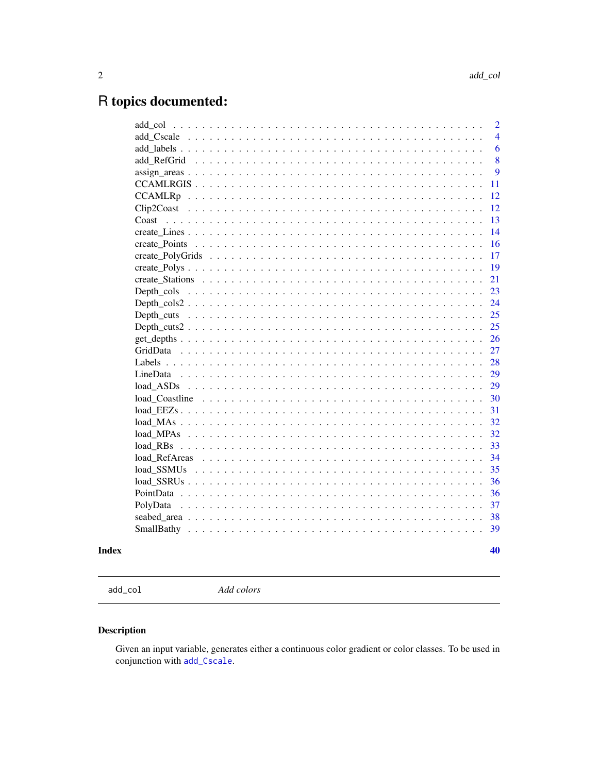# <span id="page-1-0"></span>R topics documented:

| add col                                                                                                         | $\overline{2}$ |
|-----------------------------------------------------------------------------------------------------------------|----------------|
|                                                                                                                 | $\overline{4}$ |
|                                                                                                                 | 6              |
| add RefGrid                                                                                                     | 8              |
| $assign\_areas \dots \dots \dots \dots \dots \dots \dots \dots \dots \dots \dots \dots \dots \dots \dots \dots$ | 9              |
|                                                                                                                 | 11             |
|                                                                                                                 | 12             |
|                                                                                                                 | 12             |
| Coast                                                                                                           | 13             |
|                                                                                                                 | 14             |
| create Points                                                                                                   | 16             |
|                                                                                                                 | 17             |
|                                                                                                                 | 19             |
|                                                                                                                 | 21             |
|                                                                                                                 | 23             |
|                                                                                                                 | 24             |
|                                                                                                                 | 25             |
|                                                                                                                 | 25             |
|                                                                                                                 | 26             |
|                                                                                                                 | 27             |
|                                                                                                                 | 28             |
|                                                                                                                 | 29             |
|                                                                                                                 | 29             |
|                                                                                                                 | 30             |
|                                                                                                                 | 31             |
|                                                                                                                 | 32             |
|                                                                                                                 | 32             |
| $load$ RBs $\ldots$                                                                                             | 33             |
| load RefAreas                                                                                                   | 34             |
|                                                                                                                 | 35             |
|                                                                                                                 | 36             |
|                                                                                                                 | 36             |
| PolvData                                                                                                        | 37             |
|                                                                                                                 | 38             |
|                                                                                                                 | 39             |
|                                                                                                                 |                |
|                                                                                                                 | 40             |

### **Index**

<span id="page-1-1"></span> $add\_col$ 

Add colors

### Description

Given an input variable, generates either a continuous color gradient or color classes. To be used in conjunction with add\_Cscale.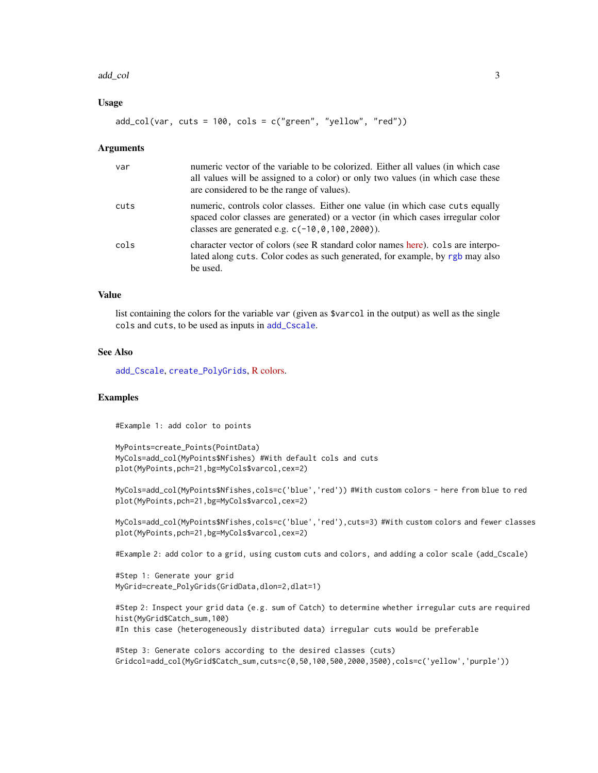#### <span id="page-2-0"></span>add\_col 3

#### Usage

 $add\_col(var, cuts = 100, colors = c("green", "yellow", "red"))$ 

#### **Arguments**

| var  | numeric vector of the variable to be colorized. Either all values (in which case<br>all values will be assigned to a color) or only two values (in which case these<br>are considered to be the range of values).       |
|------|-------------------------------------------------------------------------------------------------------------------------------------------------------------------------------------------------------------------------|
| cuts | numeric, controls color classes. Either one value (in which case cuts equally<br>spaced color classes are generated) or a vector (in which cases irregular color<br>classes are generated e.g. $c(-10, 0, 100, 2000)$ . |
| cols | character vector of colors (see R standard color names here), cols are interpo-<br>lated along cuts. Color codes as such generated, for example, by rgb may also<br>be used.                                            |

### Value

list containing the colors for the variable var (given as \$varcol in the output) as well as the single cols and cuts, to be used as inputs in [add\\_Cscale](#page-3-1).

#### See Also

[add\\_Cscale](#page-3-1), [create\\_PolyGrids](#page-16-1), [R colors.](http://www.stat.columbia.edu/~tzheng/files/Rcolor.pdf)

### Examples

#Example 1: add color to points

```
MyPoints=create_Points(PointData)
MyCols=add_col(MyPoints$Nfishes) #With default cols and cuts
plot(MyPoints,pch=21,bg=MyCols$varcol,cex=2)
```

```
MyCols=add_col(MyPoints$Nfishes,cols=c('blue','red')) #With custom colors - here from blue to red
plot(MyPoints,pch=21,bg=MyCols$varcol,cex=2)
```
MyCols=add\_col(MyPoints\$Nfishes,cols=c('blue','red'),cuts=3) #With custom colors and fewer classes plot(MyPoints,pch=21,bg=MyCols\$varcol,cex=2)

#Example 2: add color to a grid, using custom cuts and colors, and adding a color scale (add\_Cscale)

```
#Step 1: Generate your grid
MyGrid=create_PolyGrids(GridData,dlon=2,dlat=1)
```

```
#Step 2: Inspect your grid data (e.g. sum of Catch) to determine whether irregular cuts are required
hist(MyGrid$Catch_sum,100)
#In this case (heterogeneously distributed data) irregular cuts would be preferable
```

```
#Step 3: Generate colors according to the desired classes (cuts)
Gridcol=add_col(MyGrid$Catch_sum,cuts=c(0,50,100,500,2000,3500),cols=c('yellow','purple'))
```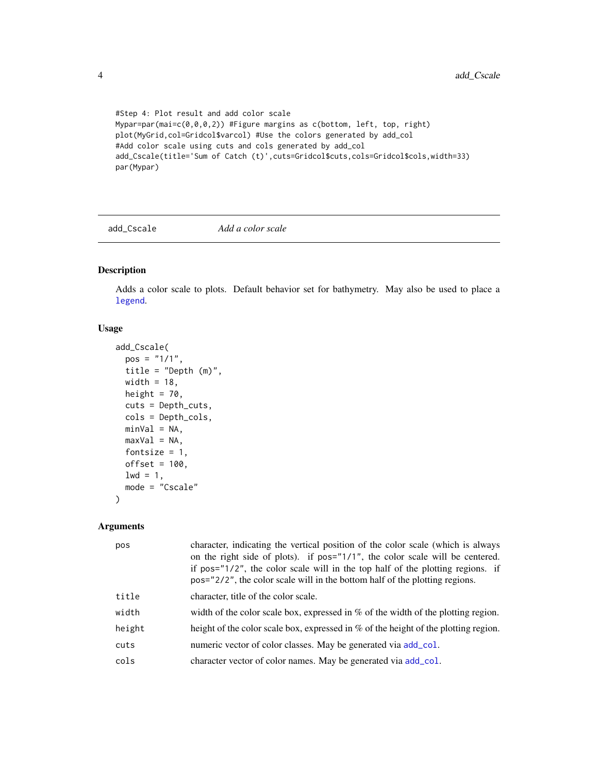```
#Step 4: Plot result and add color scale
Mypar=par(mai=c(0,0,0,2)) #Figure margins as c(bottom, left, top, right)
plot(MyGrid,col=Gridcol$varcol) #Use the colors generated by add_col
#Add color scale using cuts and cols generated by add_col
add_Cscale(title='Sum of Catch (t)',cuts=Gridcol$cuts,cols=Gridcol$cols,width=33)
par(Mypar)
```
<span id="page-3-1"></span>add\_Cscale *Add a color scale*

#### Description

Adds a color scale to plots. Default behavior set for bathymetry. May also be used to place a [legend](#page-0-0).

### Usage

```
add_Cscale(
 pos = "1/1",title = "Depth (m)",
 width = 18,
 height = 70,
 cuts = Depth_cuts,
  cols = Depth_cols,
 minVal = NA,maxVal = NA,
  fontsize = 1,
 offset = 100,
  1wd = 1,
 mode = "Cscale"
)
```
### Arguments

| pos    | character, indicating the vertical position of the color scale (which is always<br>on the right side of plots). if pos="1/1", the color scale will be centered.<br>if pos= $7/2$ , the color scale will in the top half of the plotting regions. if<br>pos="2/2", the color scale will in the bottom half of the plotting regions. |
|--------|------------------------------------------------------------------------------------------------------------------------------------------------------------------------------------------------------------------------------------------------------------------------------------------------------------------------------------|
| title  | character, title of the color scale.                                                                                                                                                                                                                                                                                               |
| width  | width of the color scale box, expressed in $\%$ of the width of the plotting region.                                                                                                                                                                                                                                               |
| height | height of the color scale box, expressed in % of the height of the plotting region.                                                                                                                                                                                                                                                |
| cuts   | numeric vector of color classes. May be generated via add_col.                                                                                                                                                                                                                                                                     |
| cols   | character vector of color names. May be generated via add_col.                                                                                                                                                                                                                                                                     |

<span id="page-3-0"></span>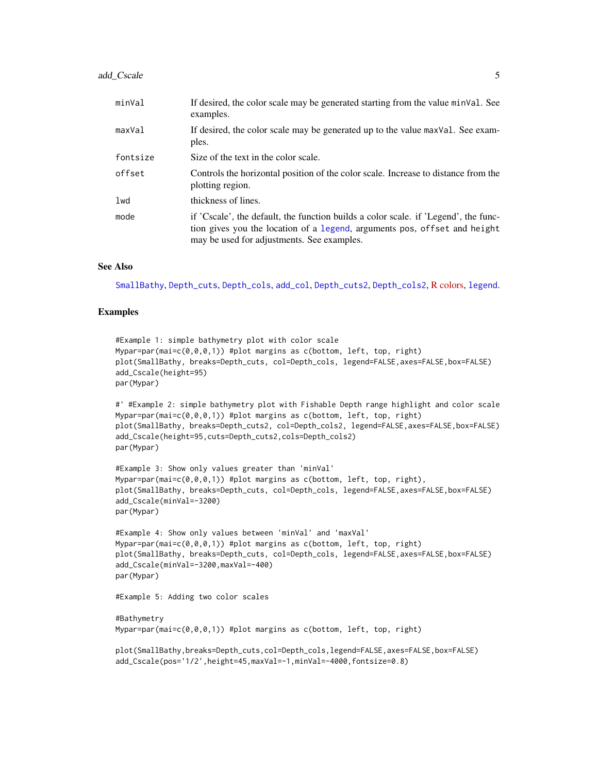### <span id="page-4-0"></span>add\_Cscale 5

| minVal   | If desired, the color scale may be generated starting from the value minVal. See<br>examples.                                                                                                                  |
|----------|----------------------------------------------------------------------------------------------------------------------------------------------------------------------------------------------------------------|
| maxVal   | If desired, the color scale may be generated up to the value maxVal. See exam-<br>ples.                                                                                                                        |
| fontsize | Size of the text in the color scale.                                                                                                                                                                           |
| offset   | Controls the horizontal position of the color scale. Increase to distance from the<br>plotting region.                                                                                                         |
| lwd      | thickness of lines.                                                                                                                                                                                            |
| mode     | if 'Cscale', the default, the function builds a color scale. if 'Legend', the func-<br>tion gives you the location of a legend, arguments pos, offset and height<br>may be used for adjustments. See examples. |

#### See Also

[SmallBathy](#page-38-1), [Depth\\_cuts](#page-24-1), [Depth\\_cols](#page-22-1), [add\\_col](#page-1-1), [Depth\\_cuts2](#page-24-2), [Depth\\_cols2](#page-23-1), [R colors,](http://www.stat.columbia.edu/~tzheng/files/Rcolor.pdf) [legend](#page-0-0).

#### Examples

```
#Example 1: simple bathymetry plot with color scale
Mypar=par(mai=c(0,0,0,1)) #plot margins as c(bottom, left, top, right)
plot(SmallBathy, breaks=Depth_cuts, col=Depth_cols, legend=FALSE,axes=FALSE,box=FALSE)
add_Cscale(height=95)
par(Mypar)
#' #Example 2: simple bathymetry plot with Fishable Depth range highlight and color scale
Mypar=par(mai=c(0,0,0,1)) #plot margins as c(bottom, left, top, right)
plot(SmallBathy, breaks=Depth_cuts2, col=Depth_cols2, legend=FALSE,axes=FALSE,box=FALSE)
add_Cscale(height=95,cuts=Depth_cuts2,cols=Depth_cols2)
par(Mypar)
#Example 3: Show only values greater than 'minVal'
Mypar=par(mai=c(0,0,0,1)) #plot margins as c(bottom, left, top, right),
plot(SmallBathy, breaks=Depth_cuts, col=Depth_cols, legend=FALSE,axes=FALSE,box=FALSE)
add_Cscale(minVal=-3200)
par(Mypar)
#Example 4: Show only values between 'minVal' and 'maxVal'
Mypar=par(mai=c(0,0,0,1)) #plot margins as c(bottom, left, top, right)
plot(SmallBathy, breaks=Depth_cuts, col=Depth_cols, legend=FALSE,axes=FALSE,box=FALSE)
add_Cscale(minVal=-3200,maxVal=-400)
par(Mypar)
#Example 5: Adding two color scales
#Bathymetry
Mypar=par(mai=c(0,0,0,1)) #plot margins as c(bottom, left, top, right)
plot(SmallBathy,breaks=Depth_cuts,col=Depth_cols,legend=FALSE,axes=FALSE,box=FALSE)
```
add\_Cscale(pos='1/2',height=45,maxVal=-1,minVal=-4000,fontsize=0.8)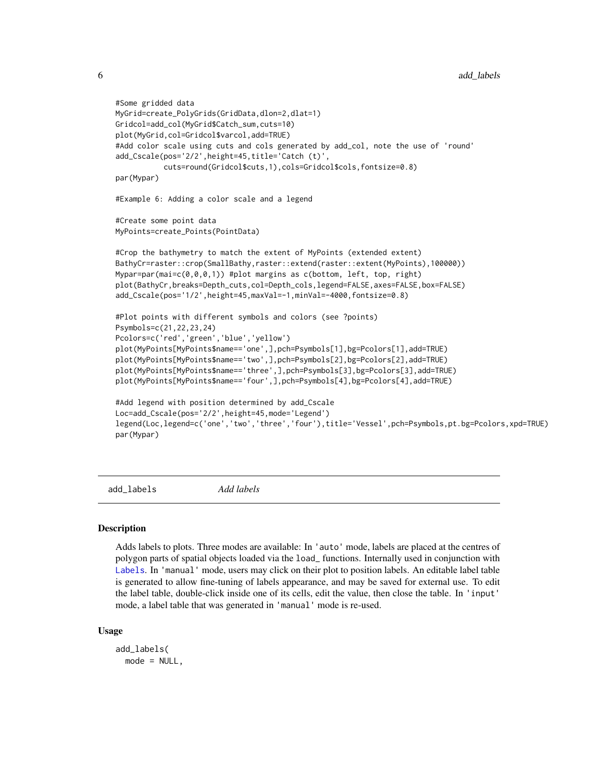```
6 and \mu and \mu and \mu and \mu and \mu and \mu and \mu and \mu and \mu and \mu and \mu and \mu and \mu and \mu and \mu and \mu and \mu and \mu and \mu and \mu and \mu and \mu and \mu and \mu a
```

```
#Some gridded data
MyGrid=create_PolyGrids(GridData,dlon=2,dlat=1)
Gridcol=add_col(MyGrid$Catch_sum,cuts=10)
plot(MyGrid,col=Gridcol$varcol,add=TRUE)
#Add color scale using cuts and cols generated by add_col, note the use of 'round'
add_Cscale(pos='2/2',height=45,title='Catch (t)',
           cuts=round(Gridcol$cuts,1),cols=Gridcol$cols,fontsize=0.8)
par(Mypar)
#Example 6: Adding a color scale and a legend
#Create some point data
MyPoints=create_Points(PointData)
#Crop the bathymetry to match the extent of MyPoints (extended extent)
BathyCr=raster::crop(SmallBathy,raster::extend(raster::extent(MyPoints),100000))
Mypar=par(mai=c(0,0,0,1)) #plot margins as c(bottom, left, top, right)
plot(BathyCr,breaks=Depth_cuts,col=Depth_cols,legend=FALSE,axes=FALSE,box=FALSE)
add_Cscale(pos='1/2',height=45,maxVal=-1,minVal=-4000,fontsize=0.8)
#Plot points with different symbols and colors (see ?points)
Psymbols=c(21,22,23,24)
Pcolors=c('red','green','blue','yellow')
plot(MyPoints[MyPoints$name=='one',],pch=Psymbols[1],bg=Pcolors[1],add=TRUE)
plot(MyPoints[MyPoints$name=='two',],pch=Psymbols[2],bg=Pcolors[2],add=TRUE)
plot(MyPoints[MyPoints$name=='three',],pch=Psymbols[3],bg=Pcolors[3],add=TRUE)
plot(MyPoints[MyPoints$name=='four',],pch=Psymbols[4],bg=Pcolors[4],add=TRUE)
#Add legend with position determined by add_Cscale
Loc=add_Cscale(pos='2/2',height=45,mode='Legend')
legend(Loc,legend=c('one','two','three','four'),title='Vessel',pch=Psymbols,pt.bg=Pcolors,xpd=TRUE)
par(Mypar)
```
<span id="page-5-1"></span>add\_labels *Add labels*

#### **Description**

Adds labels to plots. Three modes are available: In 'auto' mode, labels are placed at the centres of polygon parts of spatial objects loaded via the load\_ functions. Internally used in conjunction with [Labels](#page-27-1). In 'manual' mode, users may click on their plot to position labels. An editable label table is generated to allow fine-tuning of labels appearance, and may be saved for external use. To edit the label table, double-click inside one of its cells, edit the value, then close the table. In 'input' mode, a label table that was generated in 'manual' mode is re-used.

#### Usage

```
add_labels(
  mode = NULL,
```
<span id="page-5-0"></span>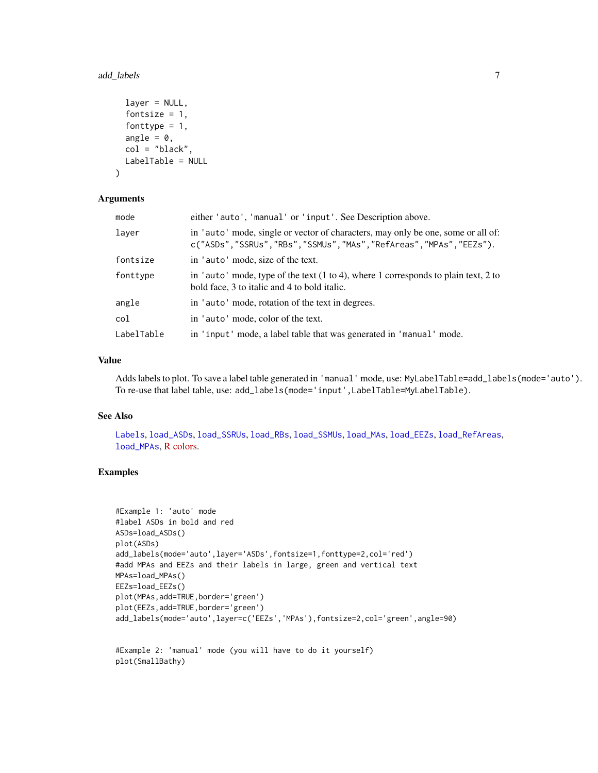#### <span id="page-6-0"></span>add\_labels 7

```
layer = NULL,
  fontsize = 1,
  fonttype = 1,
  angle = 0,
  col = "black"LabelTable = NULL
\lambda
```
### Arguments

| mode       | either 'auto', 'manual' or 'input'. See Description above.                                                                                          |
|------------|-----------------------------------------------------------------------------------------------------------------------------------------------------|
| laver      | in 'auto' mode, single or vector of characters, may only be one, some or all of:<br>c("ASDs","SSRUs","RBs","SSMUs","MAs","RefAreas","MPAs","EEZs"). |
| fontsize   | in 'auto' mode, size of the text.                                                                                                                   |
| fonttype   | in 'auto' mode, type of the text $(1 to 4)$ , where 1 corresponds to plain text, 2 to<br>bold face, 3 to italic and 4 to bold italic.               |
| angle      | in 'auto' mode, rotation of the text in degrees.                                                                                                    |
| col        | in 'auto' mode, color of the text.                                                                                                                  |
| LabelTable | in 'input' mode, a label table that was generated in 'manual' mode.                                                                                 |

### Value

Adds labels to plot. To save a label table generated in 'manual' mode, use: MyLabelTable=add\_labels(mode='auto'). To re-use that label table, use: add\_labels(mode='input',LabelTable=MyLabelTable).

### See Also

[Labels](#page-27-1), [load\\_ASDs](#page-28-1), [load\\_SSRUs](#page-35-1), [load\\_RBs](#page-32-1), [load\\_SSMUs](#page-34-1), [load\\_MAs](#page-31-1), [load\\_EEZs](#page-30-1), [load\\_RefAreas](#page-33-1), [load\\_MPAs](#page-31-2), [R colors.](http://www.stat.columbia.edu/~tzheng/files/Rcolor.pdf)

### Examples

```
#Example 1: 'auto' mode
#label ASDs in bold and red
ASDs=load_ASDs()
plot(ASDs)
add_labels(mode='auto',layer='ASDs',fontsize=1,fonttype=2,col='red')
#add MPAs and EEZs and their labels in large, green and vertical text
MPAs=load_MPAs()
EEZs=load_EEZs()
plot(MPAs,add=TRUE,border='green')
plot(EEZs,add=TRUE,border='green')
add_labels(mode='auto',layer=c('EEZs','MPAs'),fontsize=2,col='green',angle=90)
```
#Example 2: 'manual' mode (you will have to do it yourself) plot(SmallBathy)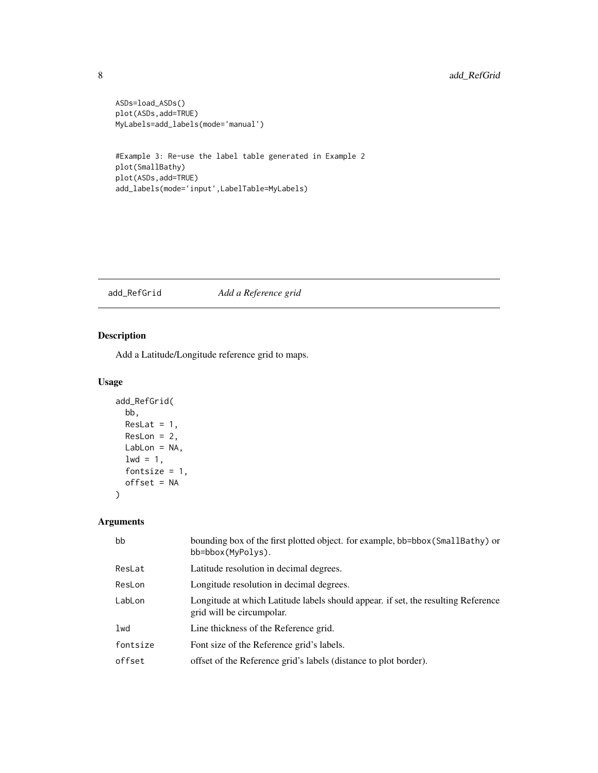```
ASDs=load_ASDs()
plot(ASDs,add=TRUE)
MyLabels=add_labels(mode='manual')
```

```
#Example 3: Re-use the label table generated in Example 2
plot(SmallBathy)
plot(ASDs,add=TRUE)
add_labels(mode='input',LabelTable=MyLabels)
```
<span id="page-7-1"></span>add\_RefGrid *Add a Reference grid*

### Description

Add a Latitude/Longitude reference grid to maps.

### Usage

```
add_RefGrid(
 bb,
 ResLat = 1,
 ResLon = 2,
 LabLon = NA,
 1wd = 1,fontsize = 1,
 offset = NA
)
```
### Arguments

| bb       | bounding box of the first plotted object. for example, bb=bbox (SmallBathy) or<br>$bb = bbox(MvPolys)$ .       |
|----------|----------------------------------------------------------------------------------------------------------------|
| ResLat   | Latitude resolution in decimal degrees.                                                                        |
| ResLon   | Longitude resolution in decimal degrees.                                                                       |
| LabLon   | Longitude at which Latitude labels should appear. if set, the resulting Reference<br>grid will be circumpolar. |
| lwd      | Line thickness of the Reference grid.                                                                          |
| fontsize | Font size of the Reference grid's labels.                                                                      |
| offset   | offset of the Reference grid's labels (distance to plot border).                                               |

<span id="page-7-0"></span>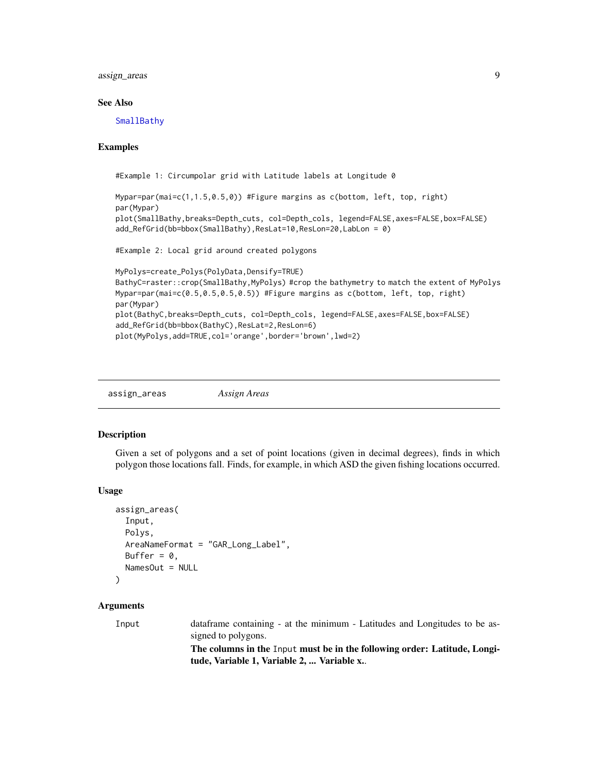<span id="page-8-0"></span>assign\_areas 9

#### See Also

**[SmallBathy](#page-38-1)** 

#### Examples

#Example 1: Circumpolar grid with Latitude labels at Longitude 0

```
Mypar=par(mai=c(1,1.5,0.5,0)) #Figure margins as c(bottom, left, top, right)
par(Mypar)
plot(SmallBathy,breaks=Depth_cuts, col=Depth_cols, legend=FALSE,axes=FALSE,box=FALSE)
add_RefGrid(bb=bbox(SmallBathy),ResLat=10,ResLon=20,LabLon = 0)
```

```
#Example 2: Local grid around created polygons
```

```
MyPolys=create_Polys(PolyData,Densify=TRUE)
BathyC=raster::crop(SmallBathy,MyPolys) #crop the bathymetry to match the extent of MyPolys
Mypar=par(mai=c(0.5,0.5,0.5,0.5)) #Figure margins as c(bottom, left, top, right)
par(Mypar)
plot(BathyC,breaks=Depth_cuts, col=Depth_cols, legend=FALSE,axes=FALSE,box=FALSE)
add_RefGrid(bb=bbox(BathyC),ResLat=2,ResLon=6)
plot(MyPolys,add=TRUE,col='orange',border='brown',lwd=2)
```
assign\_areas *Assign Areas*

#### Description

Given a set of polygons and a set of point locations (given in decimal degrees), finds in which polygon those locations fall. Finds, for example, in which ASD the given fishing locations occurred.

#### Usage

```
assign_areas(
  Input,
  Polys,
  AreaNameFormat = "GAR_Long_Label",
  Buffer = \theta,
  NamesOut = NULL
)
```
### Arguments

Input dataframe containing - at the minimum - Latitudes and Longitudes to be assigned to polygons.

The columns in the Input must be in the following order: Latitude, Longitude, Variable 1, Variable 2, ... Variable x..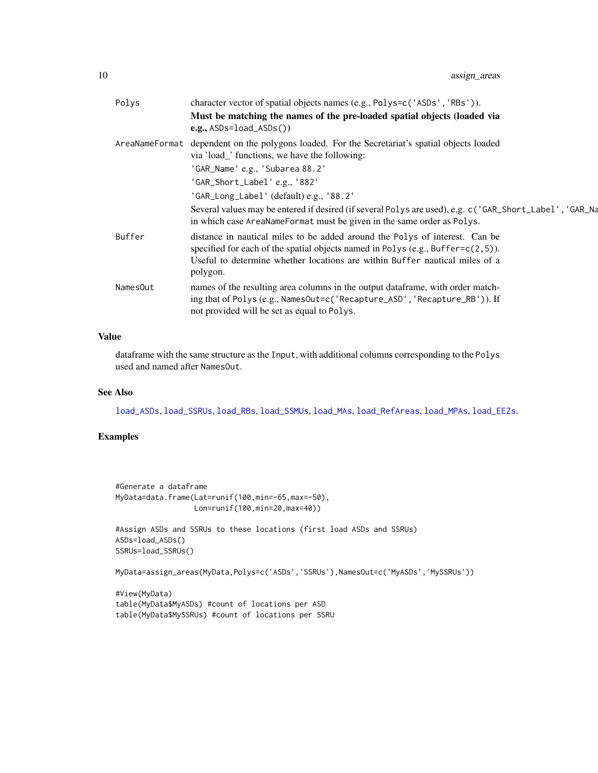<span id="page-9-0"></span>

| Polys    | character vector of spatial objects names (e.g., Polys=c('ASDs', 'RBs')).                                                                                                                                                                                     |
|----------|---------------------------------------------------------------------------------------------------------------------------------------------------------------------------------------------------------------------------------------------------------------|
|          | Must be matching the names of the pre-loaded spatial objects (loaded via<br>$e.g.,$ ASDs=load_ASDs())                                                                                                                                                         |
|          | AreaNameFormat dependent on the polygons loaded. For the Secretariat's spatial objects loaded<br>via 'load_' functions, we have the following:                                                                                                                |
|          | 'GAR_Name' e.g., 'Subarea 88.2'                                                                                                                                                                                                                               |
|          | 'GAR_Short_Label' e.g., '882'                                                                                                                                                                                                                                 |
|          | 'GAR_Long_Label' (default) e.g., '88.2'                                                                                                                                                                                                                       |
|          | Several values may be entered if desired (if several Polys are used), e.g. c('GAR_Short_Label', 'GAR_Na<br>in which case AreaNameFormat must be given in the same order as Polys.                                                                             |
| Buffer   | distance in nautical miles to be added around the Polys of interest. Can be<br>specified for each of the spatial objects named in Polys (e.g., Buffer= $c(2,5)$ ).<br>Useful to determine whether locations are within Buffer nautical miles of a<br>polygon. |
| NamesOut | names of the resulting area columns in the output dataframe, with order match-<br>ing that of Polys (e.g., NamesOut=c('Recapture_ASD', 'Recapture_RB')). If<br>not provided will be set as equal to Polys.                                                    |
|          |                                                                                                                                                                                                                                                               |

### Value

dataframe with the same structure as the Input, with additional columns corresponding to the Polys used and named after NamesOut.

### See Also

[load\\_ASDs](#page-28-1), [load\\_SSRUs](#page-35-1), [load\\_RBs](#page-32-1), [load\\_SSMUs](#page-34-1), [load\\_MAs](#page-31-1), [load\\_RefAreas](#page-33-1), [load\\_MPAs](#page-31-2), [load\\_EEZs](#page-30-1).

### Examples

```
#Generate a dataframe
MyData=data.frame(Lat=runif(100,min=-65,max=-50),
                 Lon=runif(100,min=20,max=40))
```

```
#Assign ASDs and SSRUs to these locations (first load ASDs and SSRUs)
ASDs=load_ASDs()
SSRUs=load_SSRUs()
```

```
MyData=assign_areas(MyData,Polys=c('ASDs','SSRUs'),NamesOut=c('MyASDs','MySSRUs'))
```

```
#View(MyData)
table(MyData$MyASDs) #count of locations per ASD
table(MyData$MySSRUs) #count of locations per SSRU
```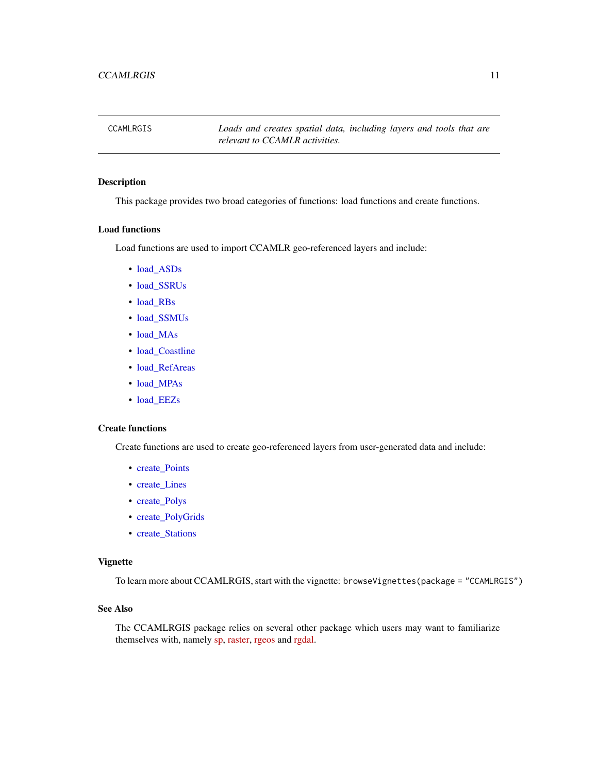<span id="page-10-0"></span>CCAMLRGIS *Loads and creates spatial data, including layers and tools that are relevant to CCAMLR activities.*

### Description

This package provides two broad categories of functions: load functions and create functions.

### Load functions

Load functions are used to import CCAMLR geo-referenced layers and include:

- [load\\_ASDs](#page-28-1)
- [load\\_SSRUs](#page-35-1)
- [load\\_RBs](#page-32-1)
- [load\\_SSMUs](#page-34-1)
- [load\\_MAs](#page-31-1)
- [load\\_Coastline](#page-29-1)
- [load\\_RefAreas](#page-33-1)
- [load\\_MPAs](#page-31-2)
- [load\\_EEZs](#page-30-1)

#### Create functions

Create functions are used to create geo-referenced layers from user-generated data and include:

- create Points
- create Lines
- [create\\_Polys](#page-18-1)
- [create\\_PolyGrids](#page-16-1)
- [create\\_Stations](#page-20-1)

#### Vignette

To learn more about CCAMLRGIS, start with the vignette: browseVignettes(package = "CCAMLRGIS")

### See Also

The CCAMLRGIS package relies on several other package which users may want to familiarize themselves with, namely [sp,](https://CRAN.R-project.org/package=sp) [raster,](https://CRAN.R-project.org/package=raster) [rgeos](https://CRAN.R-project.org/package=rgeos) and [rgdal.](https://CRAN.R-project.org/package=rgdal)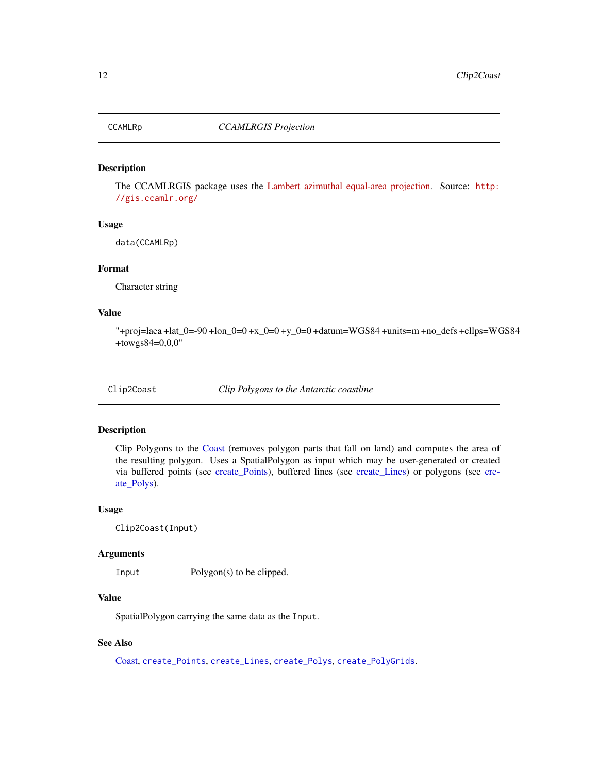<span id="page-11-2"></span><span id="page-11-0"></span>

The CCAMLRGIS package uses the [Lambert azimuthal equal-area projection.](http://en.wikipedia.org/wiki/Lambert_azimuthal_equal-area_projection) Source: [http:](http://gis.ccamlr.org/) [//gis.ccamlr.org/](http://gis.ccamlr.org/)

### Usage

data(CCAMLRp)

#### Format

Character string

### Value

"+proj=laea +lat\_0=-90 +lon\_0=0 +x\_0=0 +y\_0=0 +datum=WGS84 +units=m +no\_defs +ellps=WGS84 +towgs84=0,0,0"

<span id="page-11-1"></span>Clip2Coast *Clip Polygons to the Antarctic coastline*

### Description

Clip Polygons to the [Coast](#page-12-1) (removes polygon parts that fall on land) and computes the area of the resulting polygon. Uses a SpatialPolygon as input which may be user-generated or created via buffered points (see [create\\_Points\)](#page-15-1), buffered lines (see [create\\_Lines\)](#page-13-1) or polygons (see [cre](#page-18-1)[ate\\_Polys\)](#page-18-1).

#### Usage

```
Clip2Coast(Input)
```
#### Arguments

Input Polygon(s) to be clipped.

### Value

SpatialPolygon carrying the same data as the Input.

### See Also

[Coast,](#page-12-1) [create\\_Points](#page-15-1), [create\\_Lines](#page-13-1), [create\\_Polys](#page-18-1), [create\\_PolyGrids](#page-16-1).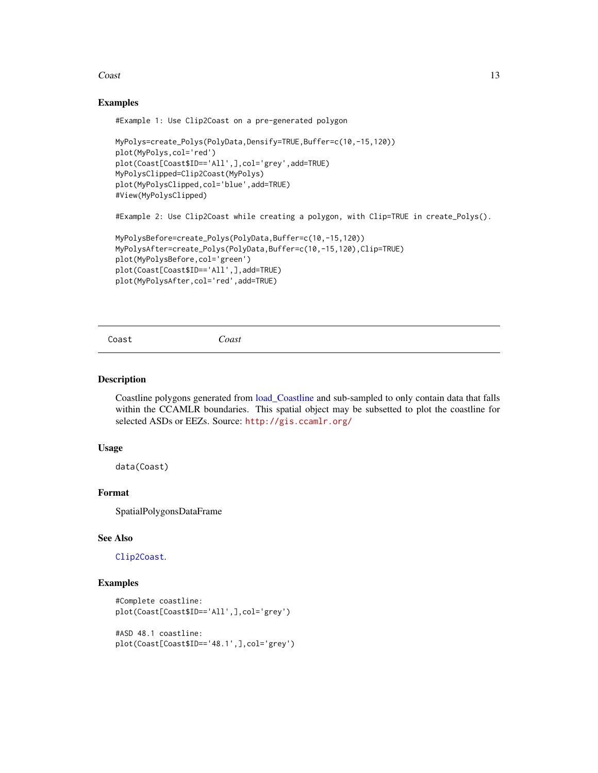#### <span id="page-12-0"></span>Coast 13

#### Examples

#Example 1: Use Clip2Coast on a pre-generated polygon

```
MyPolys=create_Polys(PolyData,Densify=TRUE,Buffer=c(10,-15,120))
plot(MyPolys,col='red')
plot(Coast[Coast$ID=='All',],col='grey',add=TRUE)
MyPolysClipped=Clip2Coast(MyPolys)
plot(MyPolysClipped,col='blue',add=TRUE)
#View(MyPolysClipped)
```
#Example 2: Use Clip2Coast while creating a polygon, with Clip=TRUE in create\_Polys().

```
MyPolysBefore=create_Polys(PolyData,Buffer=c(10,-15,120))
MyPolysAfter=create_Polys(PolyData,Buffer=c(10,-15,120),Clip=TRUE)
plot(MyPolysBefore,col='green')
plot(Coast[Coast$ID=='All',],add=TRUE)
plot(MyPolysAfter,col='red',add=TRUE)
```
<span id="page-12-1"></span>Coast *Coast*

#### Description

Coastline polygons generated from [load\\_Coastline](#page-29-1) and sub-sampled to only contain data that falls within the CCAMLR boundaries. This spatial object may be subsetted to plot the coastline for selected ASDs or EEZs. Source: <http://gis.ccamlr.org/>

#### Usage

data(Coast)

### Format

SpatialPolygonsDataFrame

#### See Also

[Clip2Coast](#page-11-1).

#### Examples

```
#Complete coastline:
plot(Coast[Coast$ID=='All',],col='grey')
#ASD 48.1 coastline:
plot(Coast[Coast$ID=='48.1',],col='grey')
```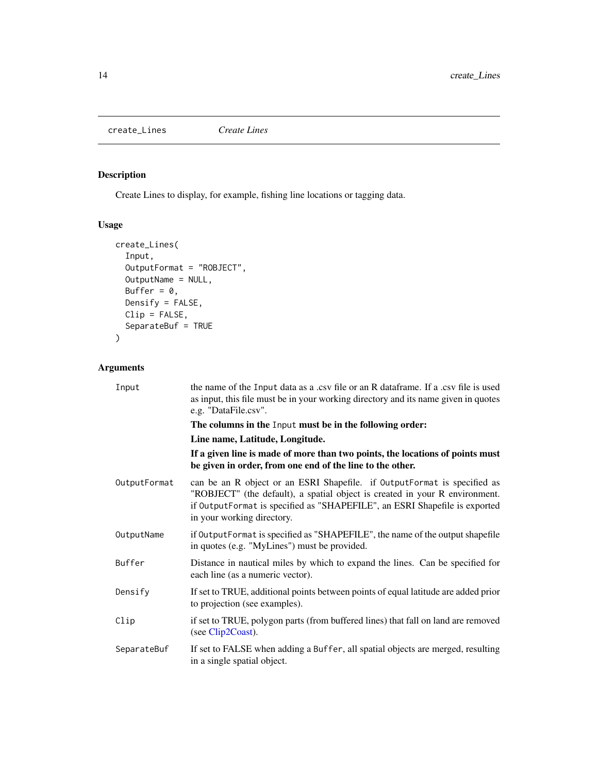<span id="page-13-1"></span><span id="page-13-0"></span>create\_Lines *Create Lines*

## Description

Create Lines to display, for example, fishing line locations or tagging data.

### Usage

```
create_Lines(
  Input,
 OutputFormat = "ROBJECT",
 OutputName = NULL,
 Buffer = 0,
 Densify = FALSE,
 Clip = FALSE,
  SeparateBuf = TRUE
)
```
### Arguments

| Input        | the name of the Input data as a .csv file or an R data frame. If a .csv file is used<br>as input, this file must be in your working directory and its name given in quotes<br>e.g. "DataFile.csv".                                                                  |
|--------------|---------------------------------------------------------------------------------------------------------------------------------------------------------------------------------------------------------------------------------------------------------------------|
|              | The columns in the Input must be in the following order:                                                                                                                                                                                                            |
|              | Line name, Latitude, Longitude.                                                                                                                                                                                                                                     |
|              | If a given line is made of more than two points, the locations of points must<br>be given in order, from one end of the line to the other.                                                                                                                          |
| OutputFormat | can be an R object or an ESRI Shapefile. if OutputFormat is specified as<br>"ROBJECT" (the default), a spatial object is created in your R environment.<br>if OutputFormat is specified as "SHAPEFILE", an ESRI Shapefile is exported<br>in your working directory. |
| OutputName   | if OutputFormat is specified as "SHAPEFILE", the name of the output shapefile<br>in quotes (e.g. "MyLines") must be provided.                                                                                                                                       |
| Buffer       | Distance in nautical miles by which to expand the lines. Can be specified for<br>each line (as a numeric vector).                                                                                                                                                   |
| Densify      | If set to TRUE, additional points between points of equal latitude are added prior<br>to projection (see examples).                                                                                                                                                 |
| Clip         | if set to TRUE, polygon parts (from buffered lines) that fall on land are removed<br>(see Clip2Coast).                                                                                                                                                              |
| SeparateBuf  | If set to FALSE when adding a Buffer, all spatial objects are merged, resulting<br>in a single spatial object.                                                                                                                                                      |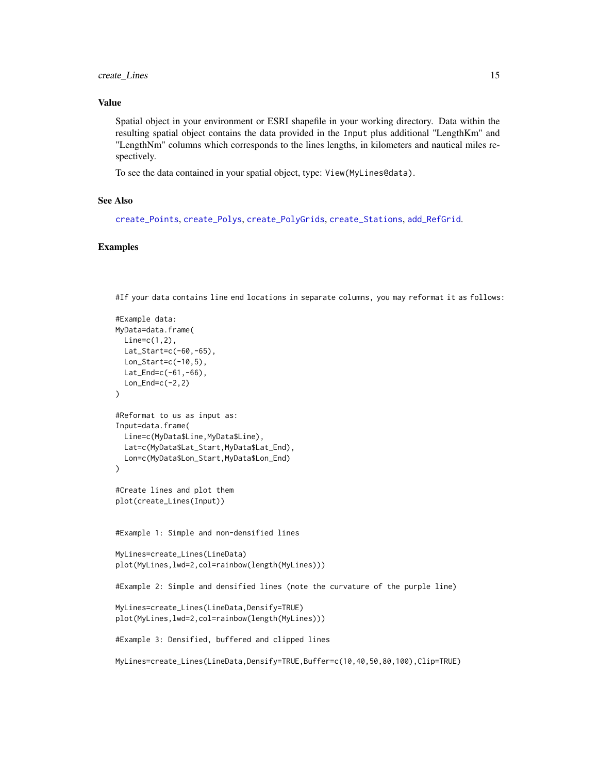### <span id="page-14-0"></span>create\_Lines 15

#### Value

Spatial object in your environment or ESRI shapefile in your working directory. Data within the resulting spatial object contains the data provided in the Input plus additional "LengthKm" and "LengthNm" columns which corresponds to the lines lengths, in kilometers and nautical miles respectively.

To see the data contained in your spatial object, type: View(MyLines@data).

#### See Also

[create\\_Points](#page-15-1), [create\\_Polys](#page-18-1), [create\\_PolyGrids](#page-16-1), [create\\_Stations](#page-20-1), [add\\_RefGrid](#page-7-1).

#### Examples

#If your data contains line end locations in separate columns, you may reformat it as follows:

```
#Example data:
MyData=data.frame(
 Line=c(1,2),
 Lat_Start=c(-60,-65),
 Lon_Start=c(-10,5),
 Lat_End=c(-61,-66),
  Lon\_End=c(-2,2))
#Reformat to us as input as:
Input=data.frame(
  Line=c(MyData$Line,MyData$Line),
  Lat=c(MyData$Lat_Start,MyData$Lat_End),
  Lon=c(MyData$Lon_Start,MyData$Lon_End)
)
#Create lines and plot them
plot(create_Lines(Input))
#Example 1: Simple and non-densified lines
MyLines=create_Lines(LineData)
plot(MyLines,lwd=2,col=rainbow(length(MyLines)))
#Example 2: Simple and densified lines (note the curvature of the purple line)
MyLines=create_Lines(LineData,Densify=TRUE)
plot(MyLines,lwd=2,col=rainbow(length(MyLines)))
#Example 3: Densified, buffered and clipped lines
MyLines=create_Lines(LineData,Densify=TRUE,Buffer=c(10,40,50,80,100),Clip=TRUE)
```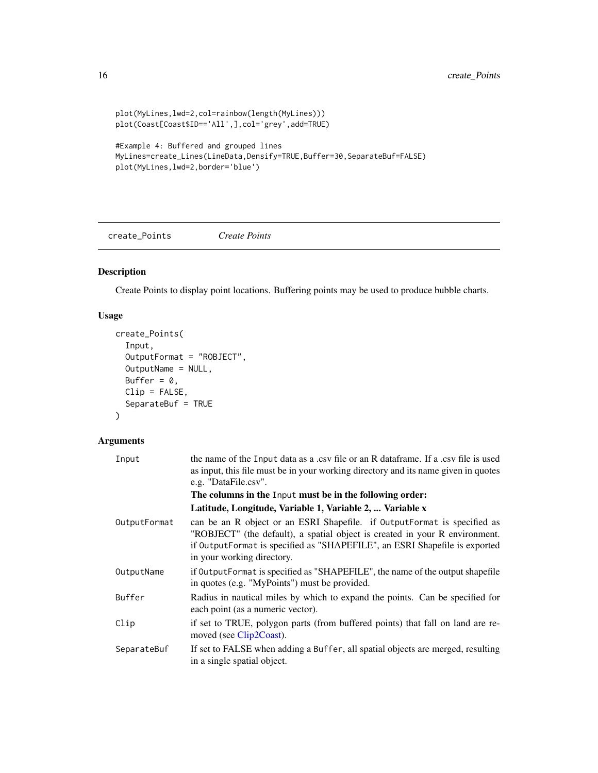```
plot(MyLines,lwd=2,col=rainbow(length(MyLines)))
plot(Coast[Coast$ID=='All',],col='grey',add=TRUE)
```

```
#Example 4: Buffered and grouped lines
MyLines=create_Lines(LineData,Densify=TRUE,Buffer=30,SeparateBuf=FALSE)
plot(MyLines,lwd=2,border='blue')
```
<span id="page-15-1"></span>create\_Points *Create Points*

### Description

Create Points to display point locations. Buffering points may be used to produce bubble charts.

### Usage

```
create_Points(
  Input,
  OutputFormat = "ROBJECT",
 OutputName = NULL,
 Buffer = 0,
 Clip = FALSE,
  SeparateBuf = TRUE
)
```
### Arguments

| the name of the Input data as a .csv file or an R dataframe. If a .csv file is used<br>as input, this file must be in your working directory and its name given in quotes<br>e.g. "DataFile.csv".                                                                   |
|---------------------------------------------------------------------------------------------------------------------------------------------------------------------------------------------------------------------------------------------------------------------|
| The columns in the Input must be in the following order:                                                                                                                                                                                                            |
| Latitude, Longitude, Variable 1, Variable 2,  Variable x                                                                                                                                                                                                            |
| can be an R object or an ESRI Shapefile. if OutputFormat is specified as<br>"ROBJECT" (the default), a spatial object is created in your R environment.<br>if OutputFormat is specified as "SHAPEFILE", an ESRI Shapefile is exported<br>in your working directory. |
| if Output Format is specified as "SHAPEFILE", the name of the output shapefile<br>in quotes (e.g. "MyPoints") must be provided.                                                                                                                                     |
| Radius in nautical miles by which to expand the points. Can be specified for<br>each point (as a numeric vector).                                                                                                                                                   |
| if set to TRUE, polygon parts (from buffered points) that fall on land are re-<br>moved (see Clip2Coast).                                                                                                                                                           |
| If set to FALSE when adding a Buffer, all spatial objects are merged, resulting<br>in a single spatial object.                                                                                                                                                      |
|                                                                                                                                                                                                                                                                     |

<span id="page-15-0"></span>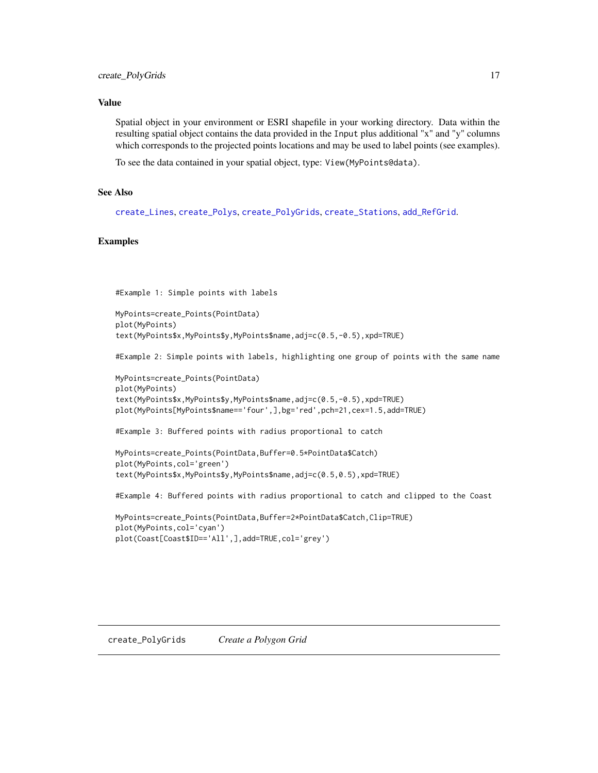#### <span id="page-16-0"></span>Value

Spatial object in your environment or ESRI shapefile in your working directory. Data within the resulting spatial object contains the data provided in the Input plus additional "x" and "y" columns which corresponds to the projected points locations and may be used to label points (see examples).

To see the data contained in your spatial object, type: View(MyPoints@data).

### See Also

[create\\_Lines](#page-13-1), [create\\_Polys](#page-18-1), [create\\_PolyGrids](#page-16-1), [create\\_Stations](#page-20-1), [add\\_RefGrid](#page-7-1).

### Examples

#Example 1: Simple points with labels

```
MyPoints=create_Points(PointData)
plot(MyPoints)
text(MyPoints$x,MyPoints$y,MyPoints$name,adj=c(0.5,-0.5),xpd=TRUE)
```
#Example 2: Simple points with labels, highlighting one group of points with the same name

```
MyPoints=create_Points(PointData)
plot(MyPoints)
text(MyPoints$x,MyPoints$y,MyPoints$name,adj=c(0.5,-0.5),xpd=TRUE)
plot(MyPoints[MyPoints$name=='four',],bg='red',pch=21,cex=1.5,add=TRUE)
```
#Example 3: Buffered points with radius proportional to catch

```
MyPoints=create_Points(PointData,Buffer=0.5*PointData$Catch)
plot(MyPoints,col='green')
text(MyPoints$x,MyPoints$y,MyPoints$name,adj=c(0.5,0.5),xpd=TRUE)
```
#Example 4: Buffered points with radius proportional to catch and clipped to the Coast

```
MyPoints=create_Points(PointData,Buffer=2*PointData$Catch,Clip=TRUE)
plot(MyPoints,col='cyan')
plot(Coast[Coast$ID=='All',],add=TRUE,col='grey')
```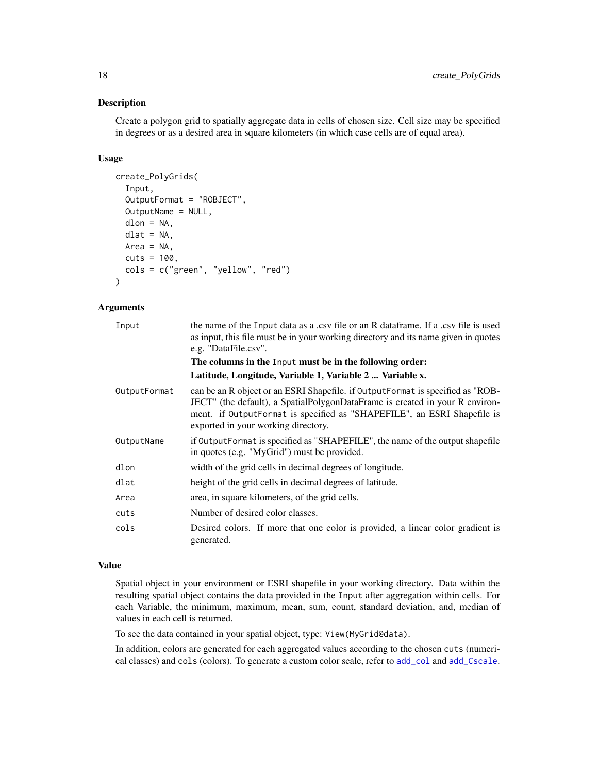Create a polygon grid to spatially aggregate data in cells of chosen size. Cell size may be specified in degrees or as a desired area in square kilometers (in which case cells are of equal area).

#### Usage

```
create_PolyGrids(
  Input,
  OutputFormat = "ROBJECT",
  OutputName = NULL,
  dlon = NA,
  dlat = NA,
  Area = NA,
  cuts = 100,cols = c("green", "yellow", "red")
)
```
### Arguments

| Input        | the name of the Input data as a .csv file or an R data frame. If a .csv file is used<br>as input, this file must be in your working directory and its name given in quotes<br>e.g. "DataFile.csv".                                                                               |
|--------------|----------------------------------------------------------------------------------------------------------------------------------------------------------------------------------------------------------------------------------------------------------------------------------|
|              | The columns in the Input must be in the following order:                                                                                                                                                                                                                         |
|              | Latitude, Longitude, Variable 1, Variable 2  Variable x.                                                                                                                                                                                                                         |
| OutputFormat | can be an R object or an ESRI Shapefile. if OutputFormat is specified as "ROB-<br>JECT" (the default), a SpatialPolygonDataFrame is created in your R environ-<br>ment. if OutputFormat is specified as "SHAPEFILE", an ESRI Shapefile is<br>exported in your working directory. |
| OutputName   | if Output Format is specified as "SHAPEFILE", the name of the output shapefile<br>in quotes (e.g. "MyGrid") must be provided.                                                                                                                                                    |
| dlon         | width of the grid cells in decimal degrees of longitude.                                                                                                                                                                                                                         |
| dlat         | height of the grid cells in decimal degrees of latitude.                                                                                                                                                                                                                         |
| Area         | area, in square kilometers, of the grid cells.                                                                                                                                                                                                                                   |
| cuts         | Number of desired color classes.                                                                                                                                                                                                                                                 |
| cols         | Desired colors. If more that one color is provided, a linear color gradient is<br>generated.                                                                                                                                                                                     |

### Value

Spatial object in your environment or ESRI shapefile in your working directory. Data within the resulting spatial object contains the data provided in the Input after aggregation within cells. For each Variable, the minimum, maximum, mean, sum, count, standard deviation, and, median of values in each cell is returned.

To see the data contained in your spatial object, type: View(MyGrid@data).

In addition, colors are generated for each aggregated values according to the chosen cuts (numerical classes) and cols (colors). To generate a custom color scale, refer to [add\\_col](#page-1-1) and [add\\_Cscale](#page-3-1).

<span id="page-17-0"></span>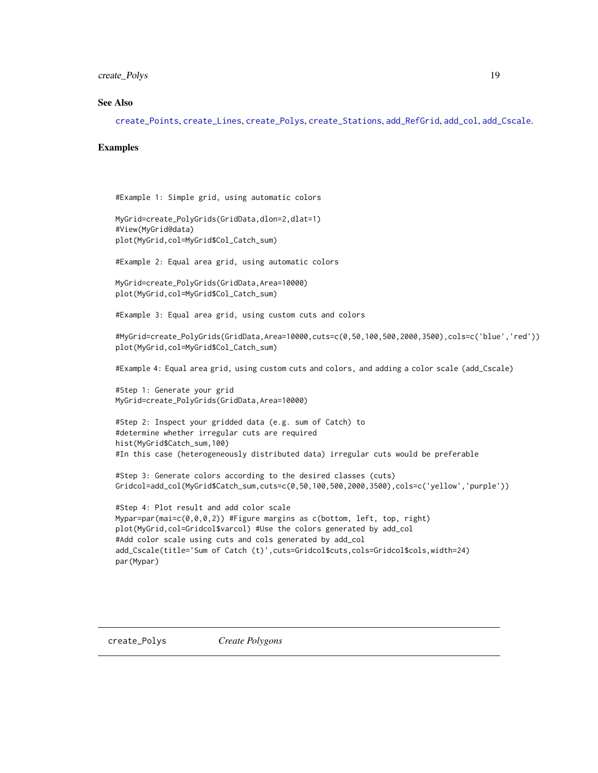### <span id="page-18-0"></span>create\_Polys 19

#### See Also

[create\\_Points](#page-15-1), [create\\_Lines](#page-13-1), [create\\_Polys](#page-18-1), [create\\_Stations](#page-20-1), [add\\_RefGrid](#page-7-1), [add\\_col](#page-1-1), [add\\_Cscale](#page-3-1).

#### Examples

```
#Example 1: Simple grid, using automatic colors
```

```
MyGrid=create_PolyGrids(GridData,dlon=2,dlat=1)
#View(MyGrid@data)
plot(MyGrid,col=MyGrid$Col_Catch_sum)
```
#Example 2: Equal area grid, using automatic colors

```
MyGrid=create_PolyGrids(GridData,Area=10000)
plot(MyGrid,col=MyGrid$Col_Catch_sum)
```
#Example 3: Equal area grid, using custom cuts and colors

#MyGrid=create\_PolyGrids(GridData,Area=10000,cuts=c(0,50,100,500,2000,3500),cols=c('blue','red')) plot(MyGrid,col=MyGrid\$Col\_Catch\_sum)

#Example 4: Equal area grid, using custom cuts and colors, and adding a color scale (add\_Cscale)

#Step 1: Generate your grid MyGrid=create\_PolyGrids(GridData,Area=10000)

```
#Step 2: Inspect your gridded data (e.g. sum of Catch) to
#determine whether irregular cuts are required
hist(MyGrid$Catch_sum,100)
#In this case (heterogeneously distributed data) irregular cuts would be preferable
```
#Step 3: Generate colors according to the desired classes (cuts) Gridcol=add\_col(MyGrid\$Catch\_sum,cuts=c(0,50,100,500,2000,3500),cols=c('yellow','purple'))

```
#Step 4: Plot result and add color scale
Mypar=par(mai=c(0,0,0,2)) #Figure margins as c(bottom, left, top, right)
plot(MyGrid,col=Gridcol$varcol) #Use the colors generated by add_col
#Add color scale using cuts and cols generated by add_col
add_Cscale(title='Sum of Catch (t)',cuts=Gridcol$cuts,cols=Gridcol$cols,width=24)
par(Mypar)
```
<span id="page-18-1"></span>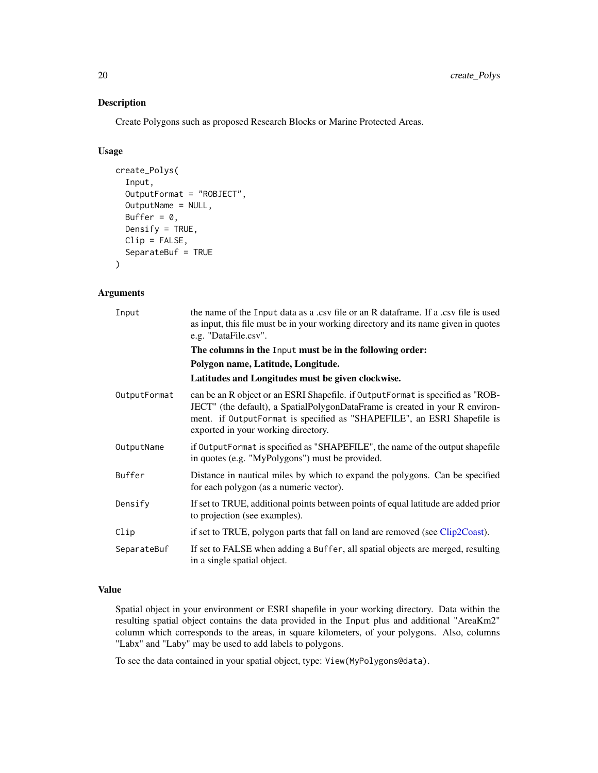Create Polygons such as proposed Research Blocks or Marine Protected Areas.

### Usage

```
create_Polys(
  Input,
  OutputFormat = "ROBJECT",
  OutputName = NULL,
 Buffer = \theta,
 Densify = TRUE,
 Clip = FALSE,
  SeparateBuf = TRUE
)
```
#### Arguments

| Input        | the name of the Input data as a .csv file or an R data frame. If a .csv file is used<br>as input, this file must be in your working directory and its name given in quotes<br>e.g. "DataFile.csv".                                                                               |
|--------------|----------------------------------------------------------------------------------------------------------------------------------------------------------------------------------------------------------------------------------------------------------------------------------|
|              | The columns in the Input must be in the following order:                                                                                                                                                                                                                         |
|              | Polygon name, Latitude, Longitude.                                                                                                                                                                                                                                               |
|              | Latitudes and Longitudes must be given clockwise.                                                                                                                                                                                                                                |
| OutputFormat | can be an R object or an ESRI Shapefile. if OutputFormat is specified as "ROB-<br>JECT" (the default), a SpatialPolygonDataFrame is created in your R environ-<br>ment. if OutputFormat is specified as "SHAPEFILE", an ESRI Shapefile is<br>exported in your working directory. |
| OutputName   | if OutputFormat is specified as "SHAPEFILE", the name of the output shapefile<br>in quotes (e.g. "MyPolygons") must be provided.                                                                                                                                                 |
| Buffer       | Distance in nautical miles by which to expand the polygons. Can be specified<br>for each polygon (as a numeric vector).                                                                                                                                                          |
| Densify      | If set to TRUE, additional points between points of equal latitude are added prior<br>to projection (see examples).                                                                                                                                                              |
| Clip         | if set to TRUE, polygon parts that fall on land are removed (see Clip2Coast).                                                                                                                                                                                                    |
| SeparateBuf  | If set to FALSE when adding a Buffer, all spatial objects are merged, resulting<br>in a single spatial object.                                                                                                                                                                   |

### Value

Spatial object in your environment or ESRI shapefile in your working directory. Data within the resulting spatial object contains the data provided in the Input plus and additional "AreaKm2" column which corresponds to the areas, in square kilometers, of your polygons. Also, columns "Labx" and "Laby" may be used to add labels to polygons.

To see the data contained in your spatial object, type: View(MyPolygons@data).

<span id="page-19-0"></span>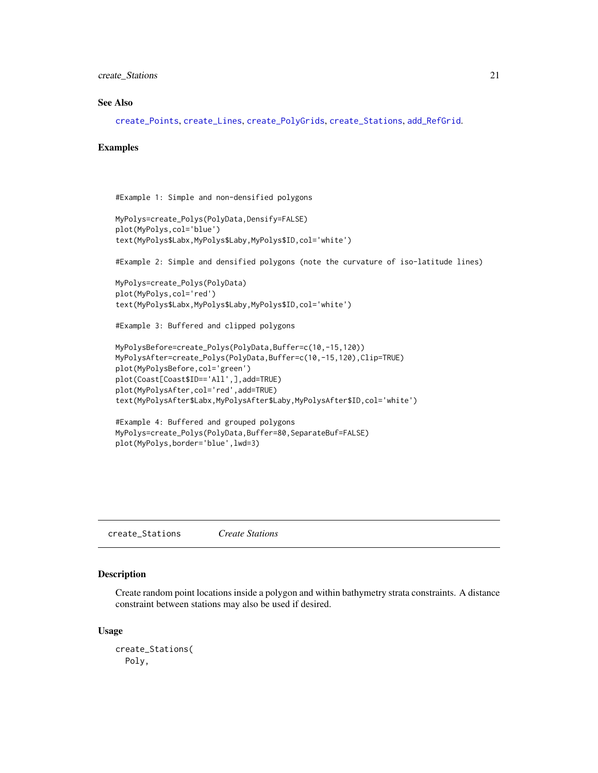<span id="page-20-0"></span>create\_Stations 21

### See Also

[create\\_Points](#page-15-1), [create\\_Lines](#page-13-1), [create\\_PolyGrids](#page-16-1), [create\\_Stations](#page-20-1), [add\\_RefGrid](#page-7-1).

#### Examples

```
#Example 1: Simple and non-densified polygons
```

```
MyPolys=create_Polys(PolyData,Densify=FALSE)
plot(MyPolys,col='blue')
text(MyPolys$Labx,MyPolys$Laby,MyPolys$ID,col='white')
```
#Example 2: Simple and densified polygons (note the curvature of iso-latitude lines)

```
MyPolys=create_Polys(PolyData)
plot(MyPolys,col='red')
text(MyPolys$Labx,MyPolys$Laby,MyPolys$ID,col='white')
```
#Example 3: Buffered and clipped polygons

```
MyPolysBefore=create_Polys(PolyData,Buffer=c(10,-15,120))
MyPolysAfter=create_Polys(PolyData,Buffer=c(10,-15,120),Clip=TRUE)
plot(MyPolysBefore,col='green')
plot(Coast[Coast$ID=='All',],add=TRUE)
plot(MyPolysAfter,col='red',add=TRUE)
text(MyPolysAfter$Labx,MyPolysAfter$Laby,MyPolysAfter$ID,col='white')
```

```
#Example 4: Buffered and grouped polygons
MyPolys=create_Polys(PolyData,Buffer=80,SeparateBuf=FALSE)
plot(MyPolys,border='blue',lwd=3)
```
<span id="page-20-1"></span>create\_Stations *Create Stations*

#### Description

Create random point locations inside a polygon and within bathymetry strata constraints. A distance constraint between stations may also be used if desired.

#### Usage

```
create_Stations(
 Poly,
```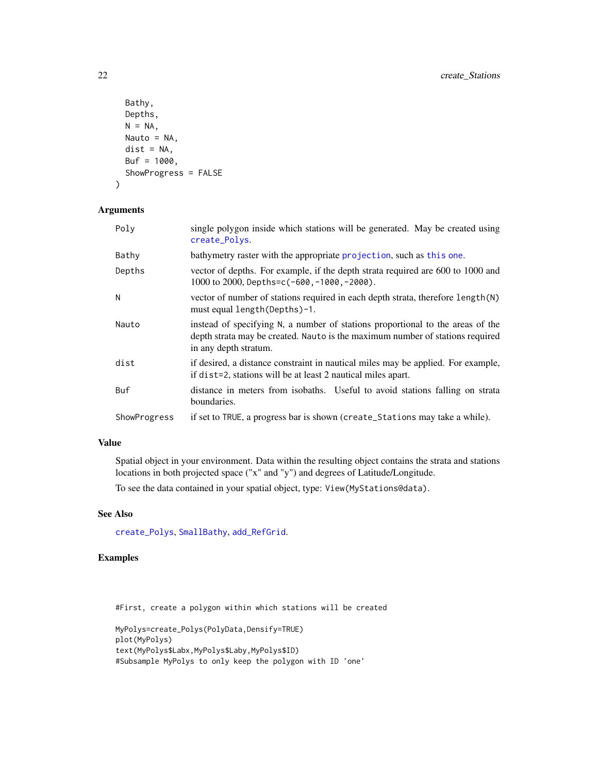```
Bathy,
 Depths,
 N = NA,
 Nauto = NA,
 dist = NA,
 Buf = 1000,ShowProgress = FALSE
\mathcal{E}
```
### Arguments

| Poly         | single polygon inside which stations will be generated. May be created using<br>create_Polys.                                                                                            |
|--------------|------------------------------------------------------------------------------------------------------------------------------------------------------------------------------------------|
| Bathy        | bathymetry raster with the appropriate projection, such as this one.                                                                                                                     |
| Depths       | vector of depths. For example, if the depth strata required are 600 to 1000 and<br>1000 to 2000, Depths=c(-600, -1000, -2000).                                                           |
| Ν            | vector of number of stations required in each depth strata, therefore length (N)<br>must equal length (Depths)-1.                                                                        |
| Nauto        | instead of specifying N, a number of stations proportional to the areas of the<br>depth strata may be created. Nauto is the maximum number of stations required<br>in any depth stratum. |
| dist         | if desired, a distance constraint in nautical miles may be applied. For example,<br>if dist=2, stations will be at least 2 nautical miles apart.                                         |
| Buf          | distance in meters from isobaths. Useful to avoid stations falling on strata<br>boundaries.                                                                                              |
| ShowProgress | if set to TRUE, a progress bar is shown (create_Stations may take a while).                                                                                                              |

### Value

Spatial object in your environment. Data within the resulting object contains the strata and stations locations in both projected space ("x" and "y") and degrees of Latitude/Longitude.

To see the data contained in your spatial object, type: View(MyStations@data).

### See Also

[create\\_Polys](#page-18-1), [SmallBathy](#page-38-1), [add\\_RefGrid](#page-7-1).

### Examples

#First, create a polygon within which stations will be created

MyPolys=create\_Polys(PolyData,Densify=TRUE) plot(MyPolys) text(MyPolys\$Labx,MyPolys\$Laby,MyPolys\$ID) #Subsample MyPolys to only keep the polygon with ID 'one'

<span id="page-21-0"></span>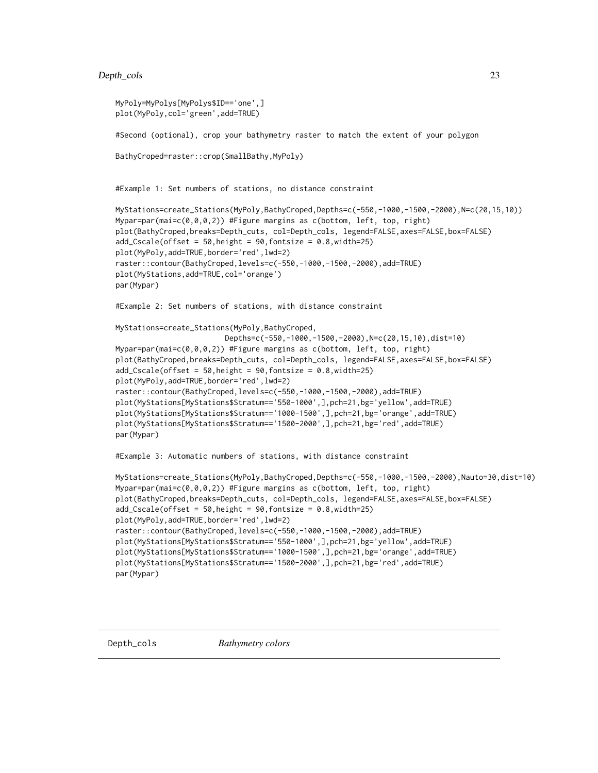### <span id="page-22-0"></span>Depth\_cols 23

```
MyPoly=MyPolys[MyPolys$ID=='one',]
plot(MyPoly,col='green',add=TRUE)
#Second (optional), crop your bathymetry raster to match the extent of your polygon
BathyCroped=raster::crop(SmallBathy,MyPoly)
#Example 1: Set numbers of stations, no distance constraint
MyStations=create_Stations(MyPoly,BathyCroped,Depths=c(-550,-1000,-1500,-2000),N=c(20,15,10))
Mypar=par(mai=c(0,0,0,2)) #Figure margins as c(bottom, left, top, right)
plot(BathyCroped,breaks=Depth_cuts, col=Depth_cols, legend=FALSE,axes=FALSE,box=FALSE)
add\_Scale(offset = 50, height = 90, fontsize = 0.8, width=25)plot(MyPoly,add=TRUE,border='red',lwd=2)
raster::contour(BathyCroped,levels=c(-550,-1000,-1500,-2000),add=TRUE)
plot(MyStations,add=TRUE,col='orange')
par(Mypar)
#Example 2: Set numbers of stations, with distance constraint
MyStations=create_Stations(MyPoly,BathyCroped,
                         Depths=c(-550,-1000,-1500,-2000),N=c(20,15,10),dist=10)
Mypar=par(mai=c(0,0,0,2)) #Figure margins as c(bottom, left, top, right)
plot(BathyCroped,breaks=Depth_cuts, col=Depth_cols, legend=FALSE,axes=FALSE,box=FALSE)
add\_Scale(offset = 50, height = 90, fontsize = 0.8, width=25)plot(MyPoly,add=TRUE,border='red',lwd=2)
raster::contour(BathyCroped,levels=c(-550,-1000,-1500,-2000),add=TRUE)
plot(MyStations[MyStations$Stratum=='550-1000',],pch=21,bg='yellow',add=TRUE)
plot(MyStations[MyStations$Stratum=='1000-1500',],pch=21,bg='orange',add=TRUE)
plot(MyStations[MyStations$Stratum=='1500-2000',],pch=21,bg='red',add=TRUE)
par(Mypar)
#Example 3: Automatic numbers of stations, with distance constraint
MyStations=create_Stations(MyPoly,BathyCroped,Depths=c(-550,-1000,-1500,-2000),Nauto=30,dist=10)
Mypar=par(mai=c(0,0,0,2)) #Figure margins as c(bottom, left, top, right)
plot(BathyCroped,breaks=Depth_cuts, col=Depth_cols, legend=FALSE,axes=FALSE,box=FALSE)
add\_Scale(offset = 50, height = 90, fontsize = 0.8, width=25)plot(MyPoly,add=TRUE,border='red',lwd=2)
raster::contour(BathyCroped,levels=c(-550,-1000,-1500,-2000),add=TRUE)
plot(MyStations[MyStations$Stratum=='550-1000',],pch=21,bg='yellow',add=TRUE)
plot(MyStations[MyStations$Stratum=='1000-1500',],pch=21,bg='orange',add=TRUE)
plot(MyStations[MyStations$Stratum=='1500-2000',],pch=21,bg='red',add=TRUE)
par(Mypar)
```
<span id="page-22-1"></span>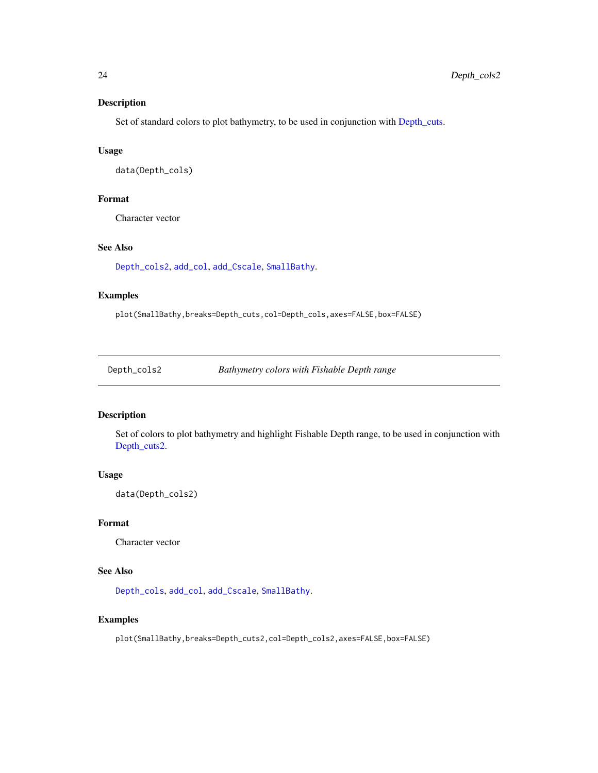<span id="page-23-0"></span>Set of standard colors to plot bathymetry, to be used in conjunction with [Depth\\_cuts.](#page-24-1)

### Usage

data(Depth\_cols)

### Format

Character vector

### See Also

[Depth\\_cols2](#page-23-1), [add\\_col](#page-1-1), [add\\_Cscale](#page-3-1), [SmallBathy](#page-38-1).

### Examples

plot(SmallBathy,breaks=Depth\_cuts,col=Depth\_cols,axes=FALSE,box=FALSE)

<span id="page-23-1"></span>Depth\_cols2 *Bathymetry colors with Fishable Depth range*

### Description

Set of colors to plot bathymetry and highlight Fishable Depth range, to be used in conjunction with [Depth\\_cuts2.](#page-24-2)

### Usage

data(Depth\_cols2)

#### Format

Character vector

### See Also

[Depth\\_cols](#page-22-1), [add\\_col](#page-1-1), [add\\_Cscale](#page-3-1), [SmallBathy](#page-38-1).

### Examples

plot(SmallBathy,breaks=Depth\_cuts2,col=Depth\_cols2,axes=FALSE,box=FALSE)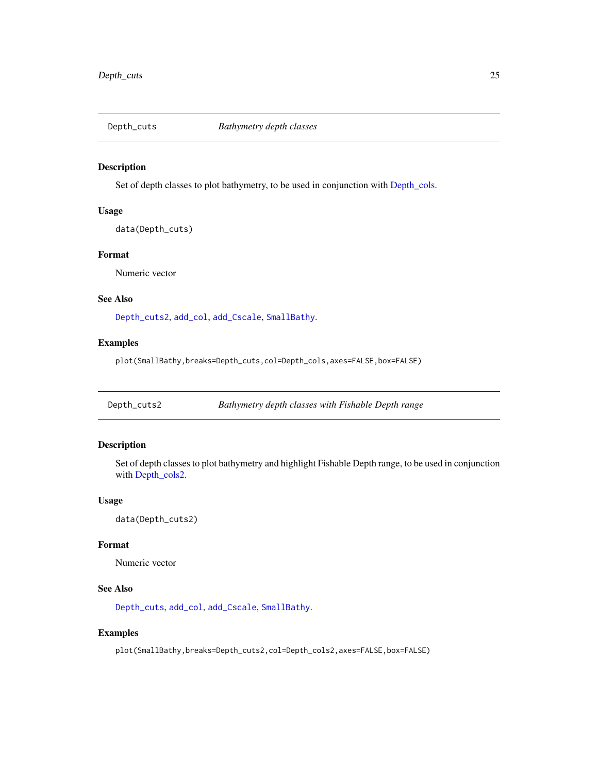<span id="page-24-1"></span><span id="page-24-0"></span>

Set of depth classes to plot bathymetry, to be used in conjunction with [Depth\\_cols.](#page-22-1)

#### Usage

data(Depth\_cuts)

### Format

Numeric vector

#### See Also

[Depth\\_cuts2](#page-24-2), [add\\_col](#page-1-1), [add\\_Cscale](#page-3-1), [SmallBathy](#page-38-1).

### Examples

plot(SmallBathy,breaks=Depth\_cuts,col=Depth\_cols,axes=FALSE,box=FALSE)

<span id="page-24-2"></span>Depth\_cuts2 *Bathymetry depth classes with Fishable Depth range*

### Description

Set of depth classes to plot bathymetry and highlight Fishable Depth range, to be used in conjunction with [Depth\\_cols2.](#page-23-1)

### Usage

data(Depth\_cuts2)

### Format

Numeric vector

#### See Also

[Depth\\_cuts](#page-24-1), [add\\_col](#page-1-1), [add\\_Cscale](#page-3-1), [SmallBathy](#page-38-1).

### Examples

plot(SmallBathy,breaks=Depth\_cuts2,col=Depth\_cols2,axes=FALSE,box=FALSE)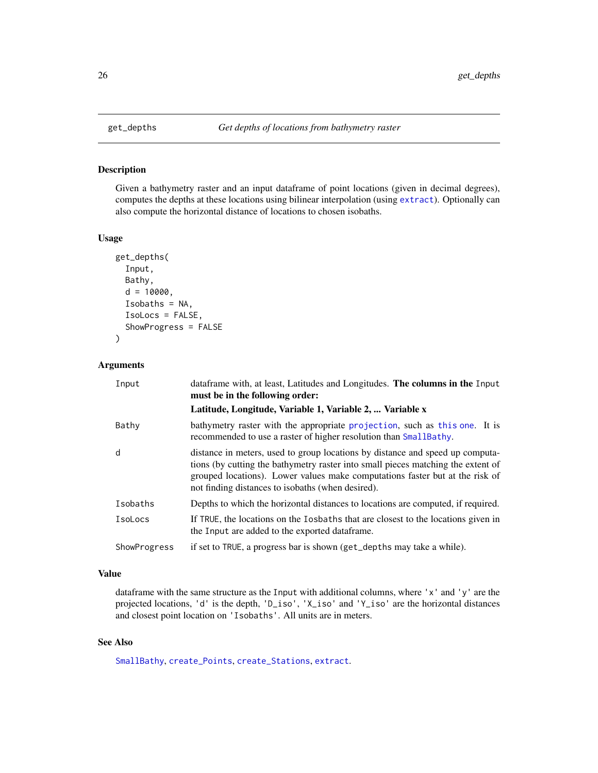<span id="page-25-1"></span><span id="page-25-0"></span>

Given a bathymetry raster and an input dataframe of point locations (given in decimal degrees), computes the depths at these locations using bilinear interpolation (using [extract](#page-0-0)). Optionally can also compute the horizontal distance of locations to chosen isobaths.

#### Usage

```
get_depths(
  Input,
  Bathy,
  d = 10000,Isobaths = NA,
  IsoLocs = FALSE,
  ShowProgress = FALSE
)
```
#### Arguments

| Input        | dataframe with, at least, Latitudes and Longitudes. The columns in the Input<br>must be in the following order:                                                                                                                                                                                        |
|--------------|--------------------------------------------------------------------------------------------------------------------------------------------------------------------------------------------------------------------------------------------------------------------------------------------------------|
|              | Latitude, Longitude, Variable 1, Variable 2,  Variable x                                                                                                                                                                                                                                               |
| Bathy        | bathymetry raster with the appropriate projection, such as this one. It is<br>recommended to use a raster of higher resolution than SmallBathy.                                                                                                                                                        |
| d            | distance in meters, used to group locations by distance and speed up computa-<br>tions (by cutting the bathymetry raster into small pieces matching the extent of<br>grouped locations). Lower values make computations faster but at the risk of<br>not finding distances to isobaths (when desired). |
| Isobaths     | Depths to which the horizontal distances to locations are computed, if required.                                                                                                                                                                                                                       |
| IsoLocs      | If TRUE, the locations on the Iosbaths that are closest to the locations given in<br>the Input are added to the exported data frame.                                                                                                                                                                   |
| ShowProgress | if set to TRUE, a progress bar is shown (get_depths may take a while).                                                                                                                                                                                                                                 |

### Value

dataframe with the same structure as the Input with additional columns, where  $'x'$  and  $'y'$  are the projected locations, 'd' is the depth, 'D\_iso', 'X\_iso' and 'Y\_iso' are the horizontal distances and closest point location on 'Isobaths'. All units are in meters.

### See Also

[SmallBathy](#page-38-1), [create\\_Points](#page-15-1), [create\\_Stations](#page-20-1), [extract](#page-0-0).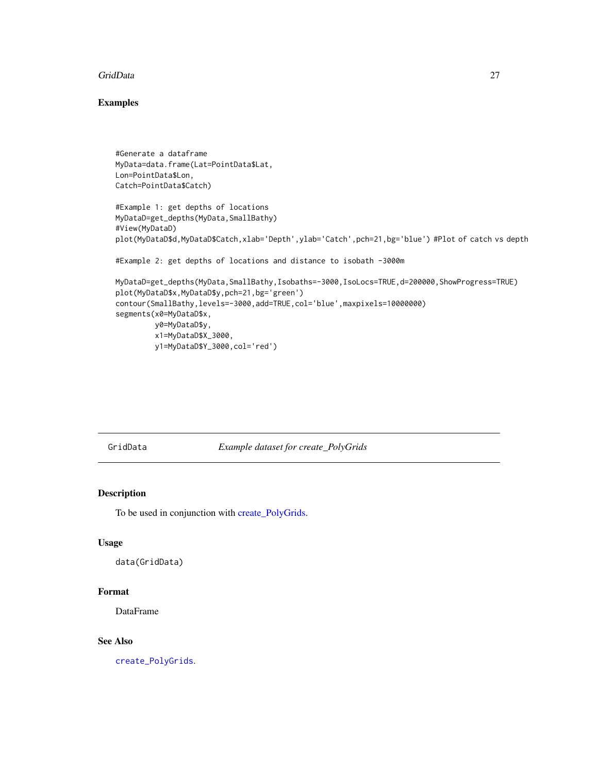#### <span id="page-26-0"></span>GridData 27

### Examples

```
#Generate a dataframe
MyData=data.frame(Lat=PointData$Lat,
Lon=PointData$Lon,
Catch=PointData$Catch)
#Example 1: get depths of locations
MyDataD=get_depths(MyData,SmallBathy)
#View(MyDataD)
plot(MyDataD$d,MyDataD$Catch,xlab='Depth',ylab='Catch',pch=21,bg='blue') #Plot of catch vs depth
#Example 2: get depths of locations and distance to isobath -3000m
MyDataD=get_depths(MyData,SmallBathy,Isobaths=-3000,IsoLocs=TRUE,d=200000,ShowProgress=TRUE)
plot(MyDataD$x,MyDataD$y,pch=21,bg='green')
contour(SmallBathy,levels=-3000,add=TRUE,col='blue',maxpixels=10000000)
segments(x0=MyDataD$x,
        y0=MyDataD$y,
         x1=MyDataD$X_3000,
        y1=MyDataD$Y_3000,col='red')
```
GridData *Example dataset for create\_PolyGrids*

### Description

To be used in conjunction with [create\\_PolyGrids.](#page-16-1)

### Usage

```
data(GridData)
```
#### Format

DataFrame

#### See Also

[create\\_PolyGrids](#page-16-1).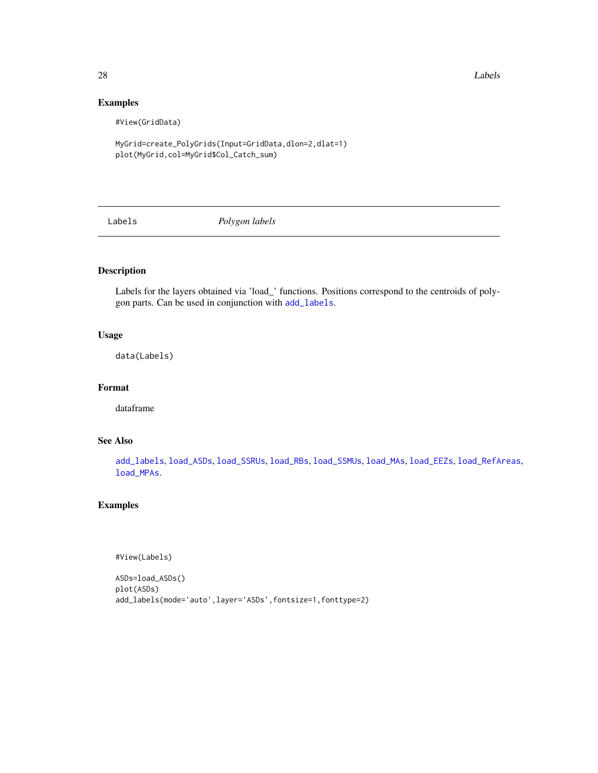28 Labels and the contract of the contract of the contract of the contract of the contract of the contract of the contract of the contract of the contract of the contract of the contract of the contract of the contract of

### Examples

#View(GridData)

MyGrid=create\_PolyGrids(Input=GridData,dlon=2,dlat=1) plot(MyGrid,col=MyGrid\$Col\_Catch\_sum)

<span id="page-27-1"></span>Labels *Polygon labels*

### Description

Labels for the layers obtained via 'load\_' functions. Positions correspond to the centroids of polygon parts. Can be used in conjunction with [add\\_labels](#page-5-1).

### Usage

data(Labels)

### Format

dataframe

### See Also

[add\\_labels](#page-5-1), [load\\_ASDs](#page-28-1), [load\\_SSRUs](#page-35-1), [load\\_RBs](#page-32-1), [load\\_SSMUs](#page-34-1), [load\\_MAs](#page-31-1), [load\\_EEZs](#page-30-1), [load\\_RefAreas](#page-33-1), [load\\_MPAs](#page-31-2).

### Examples

#View(Labels)

```
ASDs=load_ASDs()
plot(ASDs)
add_labels(mode='auto',layer='ASDs',fontsize=1,fonttype=2)
```
<span id="page-27-0"></span>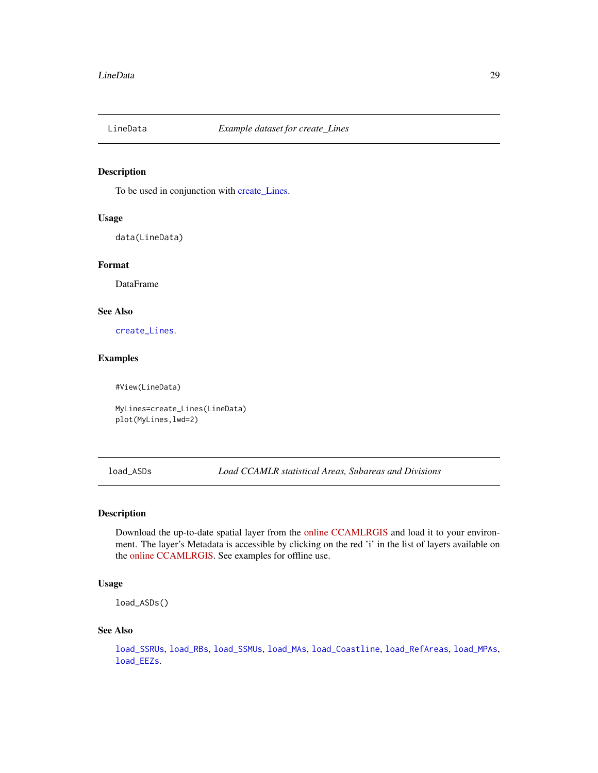<span id="page-28-0"></span>

To be used in conjunction with [create\\_Lines.](#page-13-1)

#### Usage

data(LineData)

#### Format

DataFrame

### See Also

[create\\_Lines](#page-13-1).

#### Examples

#View(LineData)

MyLines=create\_Lines(LineData) plot(MyLines,lwd=2)

<span id="page-28-1"></span>load\_ASDs *Load CCAMLR statistical Areas, Subareas and Divisions*

#### Description

Download the up-to-date spatial layer from the [online CCAMLRGIS](http://gis.ccamlr.org/) and load it to your environment. The layer's Metadata is accessible by clicking on the red 'i' in the list of layers available on the [online CCAMLRGIS.](http://gis.ccamlr.org/) See examples for offline use.

#### Usage

load\_ASDs()

#### See Also

[load\\_SSRUs](#page-35-1), [load\\_RBs](#page-32-1), [load\\_SSMUs](#page-34-1), [load\\_MAs](#page-31-1), [load\\_Coastline](#page-29-1), [load\\_RefAreas](#page-33-1), [load\\_MPAs](#page-31-2), [load\\_EEZs](#page-30-1).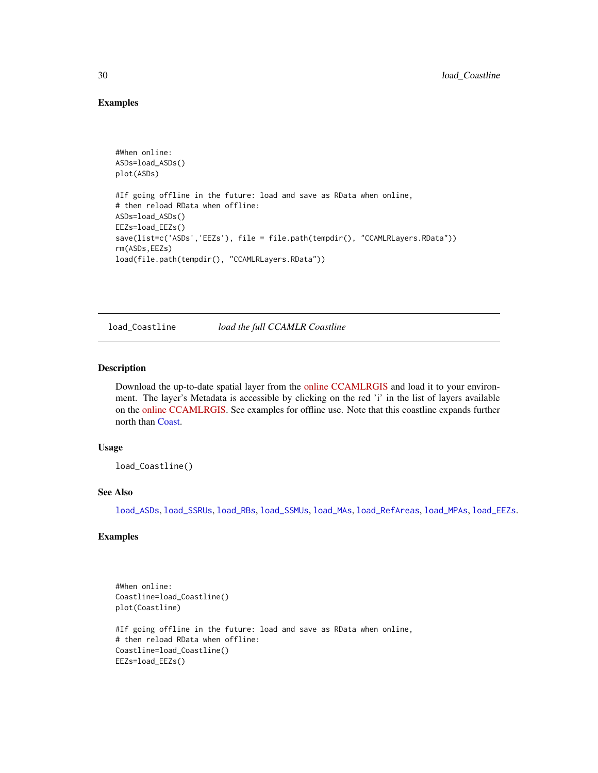#### Examples

```
#When online:
ASDs=load_ASDs()
plot(ASDs)
#If going offline in the future: load and save as RData when online,
# then reload RData when offline:
ASDs=load_ASDs()
EEZs=load_EEZs()
save(list=c('ASDs','EEZs'), file = file.path(tempdir(), "CCAMLRLayers.RData"))
rm(ASDs,EEZs)
load(file.path(tempdir(), "CCAMLRLayers.RData"))
```
<span id="page-29-1"></span>load\_Coastline *load the full CCAMLR Coastline*

#### Description

Download the up-to-date spatial layer from the [online CCAMLRGIS](http://gis.ccamlr.org/) and load it to your environment. The layer's Metadata is accessible by clicking on the red 'i' in the list of layers available on the [online CCAMLRGIS.](http://gis.ccamlr.org/) See examples for offline use. Note that this coastline expands further north than [Coast.](#page-12-1)

#### Usage

```
load_Coastline()
```
#### See Also

[load\\_ASDs](#page-28-1), [load\\_SSRUs](#page-35-1), [load\\_RBs](#page-32-1), [load\\_SSMUs](#page-34-1), [load\\_MAs](#page-31-1), [load\\_RefAreas](#page-33-1), [load\\_MPAs](#page-31-2), [load\\_EEZs](#page-30-1).

### Examples

```
#When online:
Coastline=load_Coastline()
plot(Coastline)
#If going offline in the future: load and save as RData when online,
# then reload RData when offline:
Coastline=load_Coastline()
EEZs=load_EEZs()
```
<span id="page-29-0"></span>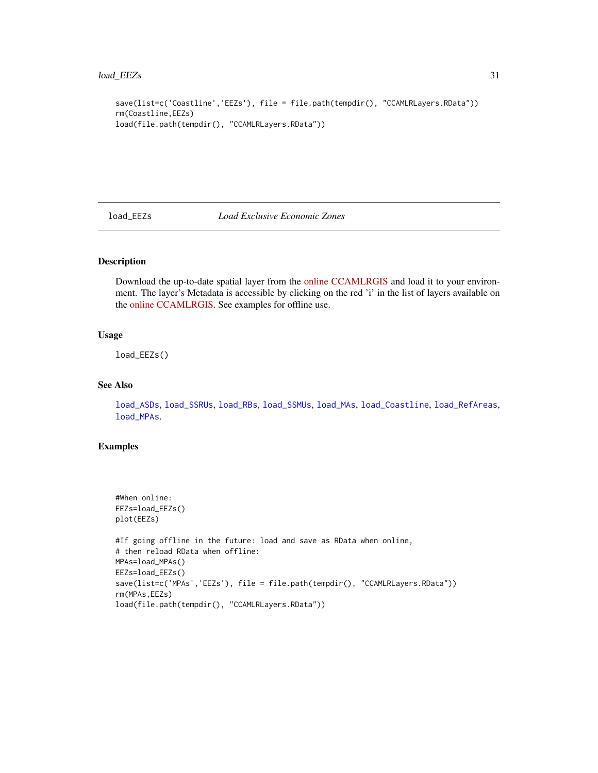```
save(list=c('Coastline','EEZs'), file = file.path(tempdir(), "CCAMLRLayers.RData"))
rm(Coastline,EEZs)
load(file.path(tempdir(), "CCAMLRLayers.RData"))
```
<span id="page-30-1"></span>load\_EEZs *Load Exclusive Economic Zones*

#### Description

Download the up-to-date spatial layer from the [online CCAMLRGIS](http://gis.ccamlr.org/) and load it to your environment. The layer's Metadata is accessible by clicking on the red 'i' in the list of layers available on the [online CCAMLRGIS.](http://gis.ccamlr.org/) See examples for offline use.

#### Usage

load\_EEZs()

#### See Also

[load\\_ASDs](#page-28-1), [load\\_SSRUs](#page-35-1), [load\\_RBs](#page-32-1), [load\\_SSMUs](#page-34-1), [load\\_MAs](#page-31-1), [load\\_Coastline](#page-29-1), [load\\_RefAreas](#page-33-1), [load\\_MPAs](#page-31-2).

### Examples

```
#When online:
EEZs=load_EEZs()
plot(EEZs)
#If going offline in the future: load and save as RData when online,
# then reload RData when offline:
MPAs=load_MPAs()
EEZs=load_EEZs()
save(list=c('MPAs','EEZs'), file = file.path(tempdir(), "CCAMLRLayers.RData"))
rm(MPAs,EEZs)
load(file.path(tempdir(), "CCAMLRLayers.RData"))
```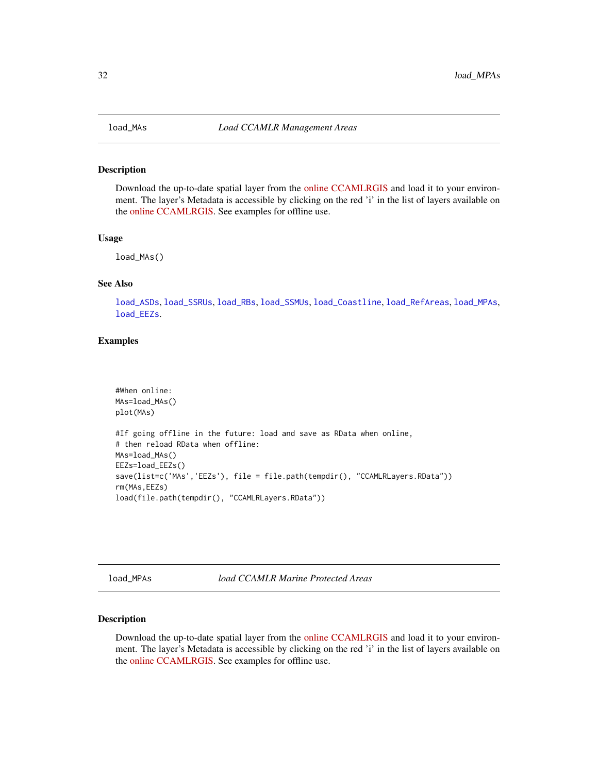Download the up-to-date spatial layer from the [online CCAMLRGIS](http://gis.ccamlr.org/) and load it to your environment. The layer's Metadata is accessible by clicking on the red 'i' in the list of layers available on the [online CCAMLRGIS.](http://gis.ccamlr.org/) See examples for offline use.

#### Usage

load\_MAs()

### See Also

[load\\_ASDs](#page-28-1), [load\\_SSRUs](#page-35-1), [load\\_RBs](#page-32-1), [load\\_SSMUs](#page-34-1), [load\\_Coastline](#page-29-1), [load\\_RefAreas](#page-33-1), [load\\_MPAs](#page-31-2), [load\\_EEZs](#page-30-1).

#### Examples

```
#When online:
MAs=load_MAs()
plot(MAs)
#If going offline in the future: load and save as RData when online,
# then reload RData when offline:
MAs=load_MAs()
EEZs=load_EEZs()
save(list=c('MAs','EEZs'), file = file.path(tempdir(), "CCAMLRLayers.RData"))
rm(MAs,EEZs)
load(file.path(tempdir(), "CCAMLRLayers.RData"))
```
<span id="page-31-2"></span>load\_MPAs *load CCAMLR Marine Protected Areas*

### Description

Download the up-to-date spatial layer from the [online CCAMLRGIS](http://gis.ccamlr.org/) and load it to your environment. The layer's Metadata is accessible by clicking on the red 'i' in the list of layers available on the [online CCAMLRGIS.](http://gis.ccamlr.org/) See examples for offline use.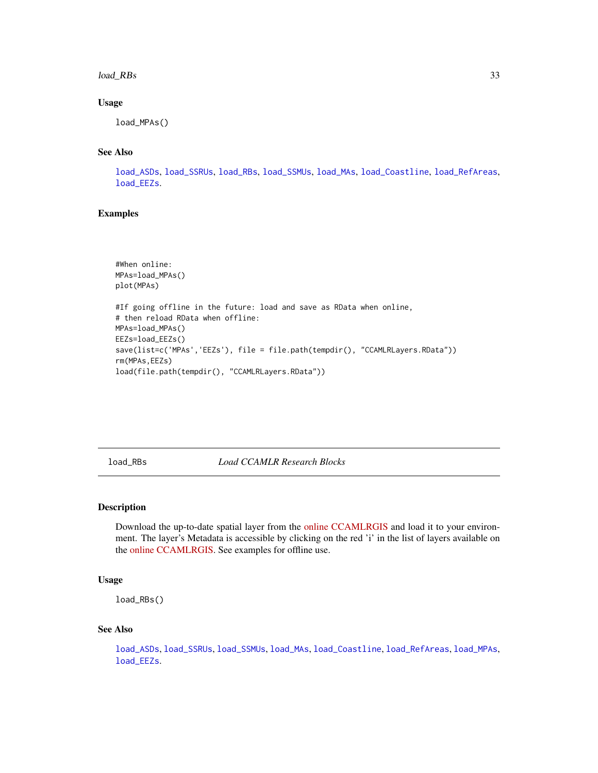#### <span id="page-32-0"></span>load\_RBs 33

#### Usage

load\_MPAs()

### See Also

[load\\_ASDs](#page-28-1), [load\\_SSRUs](#page-35-1), [load\\_RBs](#page-32-1), [load\\_SSMUs](#page-34-1), [load\\_MAs](#page-31-1), [load\\_Coastline](#page-29-1), [load\\_RefAreas](#page-33-1), [load\\_EEZs](#page-30-1).

#### Examples

```
#When online:
MPAs=load_MPAs()
plot(MPAs)
#If going offline in the future: load and save as RData when online,
# then reload RData when offline:
MPAs=load_MPAs()
EEZs=load_EEZs()
save(list=c('MPAs','EEZs'), file = file.path(tempdir(), "CCAMLRLayers.RData"))
rm(MPAs,EEZs)
load(file.path(tempdir(), "CCAMLRLayers.RData"))
```
<span id="page-32-1"></span>load\_RBs *Load CCAMLR Research Blocks*

#### Description

Download the up-to-date spatial layer from the [online CCAMLRGIS](http://gis.ccamlr.org/) and load it to your environment. The layer's Metadata is accessible by clicking on the red 'i' in the list of layers available on the [online CCAMLRGIS.](http://gis.ccamlr.org/) See examples for offline use.

### Usage

load\_RBs()

#### See Also

[load\\_ASDs](#page-28-1), [load\\_SSRUs](#page-35-1), [load\\_SSMUs](#page-34-1), [load\\_MAs](#page-31-1), [load\\_Coastline](#page-29-1), [load\\_RefAreas](#page-33-1), [load\\_MPAs](#page-31-2), [load\\_EEZs](#page-30-1).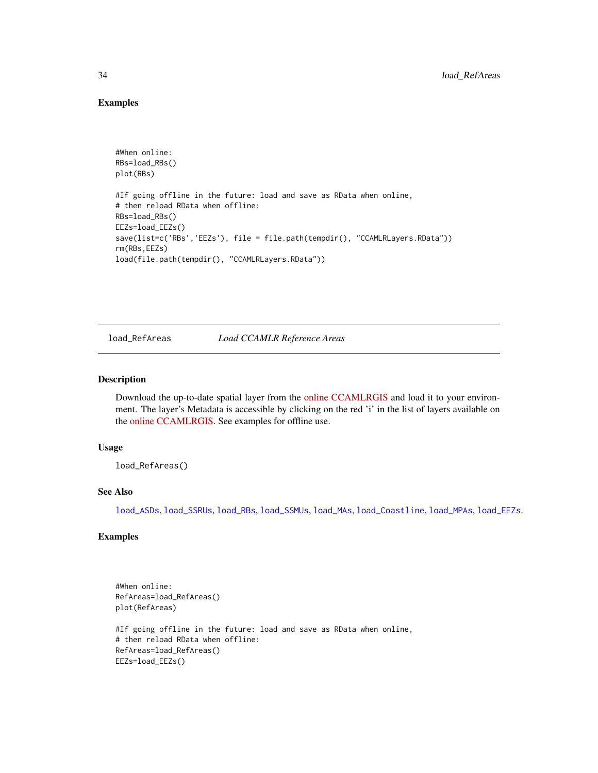### Examples

```
#When online:
RBs=load_RBs()
plot(RBs)
#If going offline in the future: load and save as RData when online,
# then reload RData when offline:
RBs=load_RBs()
EEZs=load_EEZs()
save(list=c('RBs','EEZs'), file = file.path(tempdir(), "CCAMLRLayers.RData"))
rm(RBs,EEZs)
load(file.path(tempdir(), "CCAMLRLayers.RData"))
```
<span id="page-33-1"></span>load\_RefAreas *Load CCAMLR Reference Areas*

#### Description

Download the up-to-date spatial layer from the [online CCAMLRGIS](http://gis.ccamlr.org/) and load it to your environment. The layer's Metadata is accessible by clicking on the red 'i' in the list of layers available on the [online CCAMLRGIS.](http://gis.ccamlr.org/) See examples for offline use.

#### Usage

load\_RefAreas()

#### See Also

[load\\_ASDs](#page-28-1), [load\\_SSRUs](#page-35-1), [load\\_RBs](#page-32-1), [load\\_SSMUs](#page-34-1), [load\\_MAs](#page-31-1), [load\\_Coastline](#page-29-1), [load\\_MPAs](#page-31-2), [load\\_EEZs](#page-30-1).

### Examples

```
#When online:
RefAreas=load_RefAreas()
plot(RefAreas)
#If going offline in the future: load and save as RData when online,
# then reload RData when offline:
RefAreas=load_RefAreas()
EEZs=load_EEZs()
```
<span id="page-33-0"></span>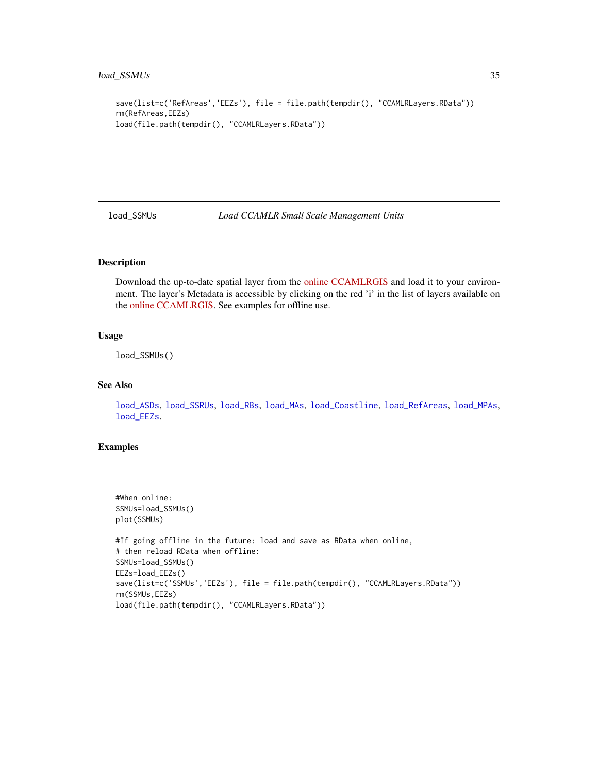```
save(list=c('RefAreas','EEZs'), file = file.path(tempdir(), "CCAMLRLayers.RData"))
rm(RefAreas,EEZs)
load(file.path(tempdir(), "CCAMLRLayers.RData"))
```
<span id="page-34-1"></span>load\_SSMUs *Load CCAMLR Small Scale Management Units*

### Description

Download the up-to-date spatial layer from the [online CCAMLRGIS](http://gis.ccamlr.org/) and load it to your environment. The layer's Metadata is accessible by clicking on the red 'i' in the list of layers available on the [online CCAMLRGIS.](http://gis.ccamlr.org/) See examples for offline use.

#### Usage

load\_SSMUs()

### See Also

[load\\_ASDs](#page-28-1), [load\\_SSRUs](#page-35-1), [load\\_RBs](#page-32-1), [load\\_MAs](#page-31-1), [load\\_Coastline](#page-29-1), [load\\_RefAreas](#page-33-1), [load\\_MPAs](#page-31-2), [load\\_EEZs](#page-30-1).

### Examples

```
#When online:
SSMUs=load_SSMUs()
plot(SSMUs)
#If going offline in the future: load and save as RData when online,
# then reload RData when offline:
SSMUs=load_SSMUs()
EEZs=load_EEZs()
save(list=c('SSMUs','EEZs'), file = file.path(tempdir(), "CCAMLRLayers.RData"))
rm(SSMUs,EEZs)
load(file.path(tempdir(), "CCAMLRLayers.RData"))
```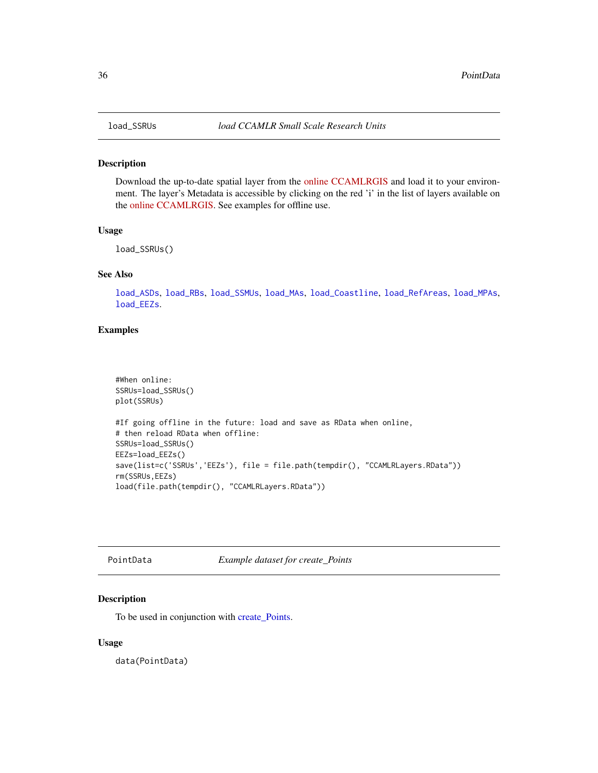<span id="page-35-1"></span><span id="page-35-0"></span>

Download the up-to-date spatial layer from the [online CCAMLRGIS](http://gis.ccamlr.org/) and load it to your environment. The layer's Metadata is accessible by clicking on the red 'i' in the list of layers available on the [online CCAMLRGIS.](http://gis.ccamlr.org/) See examples for offline use.

#### Usage

load\_SSRUs()

### See Also

[load\\_ASDs](#page-28-1), [load\\_RBs](#page-32-1), [load\\_SSMUs](#page-34-1), [load\\_MAs](#page-31-1), [load\\_Coastline](#page-29-1), [load\\_RefAreas](#page-33-1), [load\\_MPAs](#page-31-2), [load\\_EEZs](#page-30-1).

### Examples

```
#When online:
SSRUs=load_SSRUs()
plot(SSRUs)
#If going offline in the future: load and save as RData when online,
# then reload RData when offline:
SSRUs=load_SSRUs()
EEZs=load_EEZs()
save(list=c('SSRUs','EEZs'), file = file.path(tempdir(), "CCAMLRLayers.RData"))
rm(SSRUs,EEZs)
load(file.path(tempdir(), "CCAMLRLayers.RData"))
```
PointData *Example dataset for create\_Points*

### Description

To be used in conjunction with [create\\_Points.](#page-15-1)

#### Usage

data(PointData)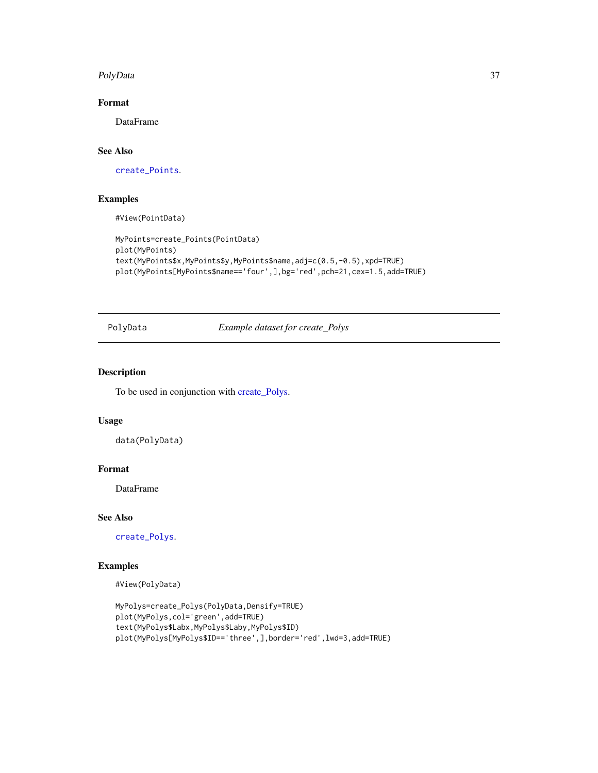#### <span id="page-36-0"></span>PolyData 37

### Format

DataFrame

### See Also

[create\\_Points](#page-15-1).

### Examples

#View(PointData)

```
MyPoints=create_Points(PointData)
plot(MyPoints)
text(MyPoints$x,MyPoints$y,MyPoints$name,adj=c(0.5,-0.5),xpd=TRUE)
plot(MyPoints[MyPoints$name=='four',],bg='red',pch=21,cex=1.5,add=TRUE)
```
PolyData *Example dataset for create\_Polys*

### Description

To be used in conjunction with [create\\_Polys.](#page-18-1)

### Usage

data(PolyData)

#### Format

DataFrame

#### See Also

[create\\_Polys](#page-18-1).

### Examples

#View(PolyData)

```
MyPolys=create_Polys(PolyData,Densify=TRUE)
plot(MyPolys,col='green',add=TRUE)
text(MyPolys$Labx,MyPolys$Laby,MyPolys$ID)
plot(MyPolys[MyPolys$ID=='three',],border='red',lwd=3,add=TRUE)
```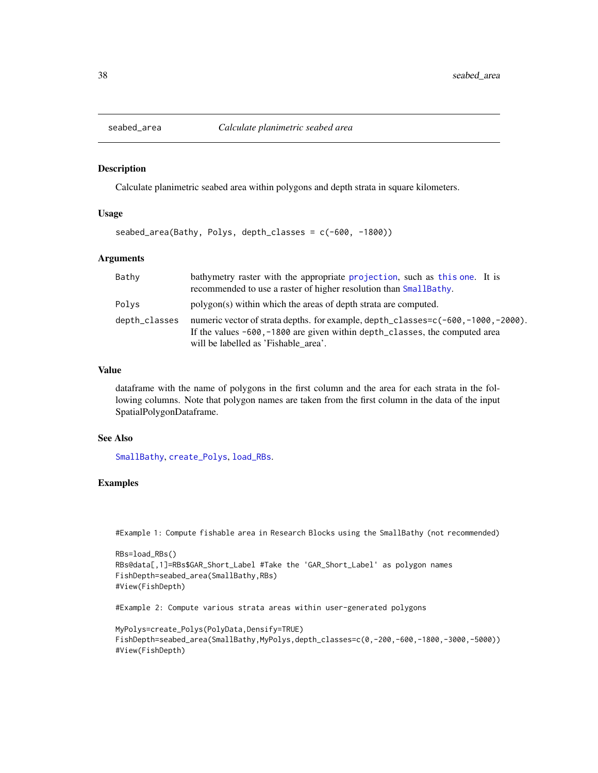<span id="page-37-0"></span>

Calculate planimetric seabed area within polygons and depth strata in square kilometers.

### Usage

```
seabed_area(Bathy, Polys, depth_classes = c(-600, -1800))
```
#### Arguments

| Bathy         | bathymetry raster with the appropriate projection, such as this one. It is<br>recommended to use a raster of higher resolution than SmallBathy.                                                              |
|---------------|--------------------------------------------------------------------------------------------------------------------------------------------------------------------------------------------------------------|
| Polys         | polygon(s) within which the areas of depth strata are computed.                                                                                                                                              |
| depth_classes | numeric vector of strata depths. for example, depth_classes=c(-600,-1000,-2000).<br>If the values $-600$ , $-1800$ are given within depth classes, the computed area<br>will be labelled as 'Fishable area'. |

### Value

dataframe with the name of polygons in the first column and the area for each strata in the following columns. Note that polygon names are taken from the first column in the data of the input SpatialPolygonDataframe.

#### See Also

[SmallBathy](#page-38-1), [create\\_Polys](#page-18-1), [load\\_RBs](#page-32-1).

### Examples

```
#Example 1: Compute fishable area in Research Blocks using the SmallBathy (not recommended)
```

```
RBs=load_RBs()
RBs@data[,1]=RBs$GAR_Short_Label #Take the 'GAR_Short_Label' as polygon names
FishDepth=seabed_area(SmallBathy,RBs)
#View(FishDepth)
```
#Example 2: Compute various strata areas within user-generated polygons

```
MyPolys=create_Polys(PolyData,Densify=TRUE)
FishDepth=seabed_area(SmallBathy,MyPolys,depth_classes=c(0,-200,-600,-1800,-3000,-5000))
#View(FishDepth)
```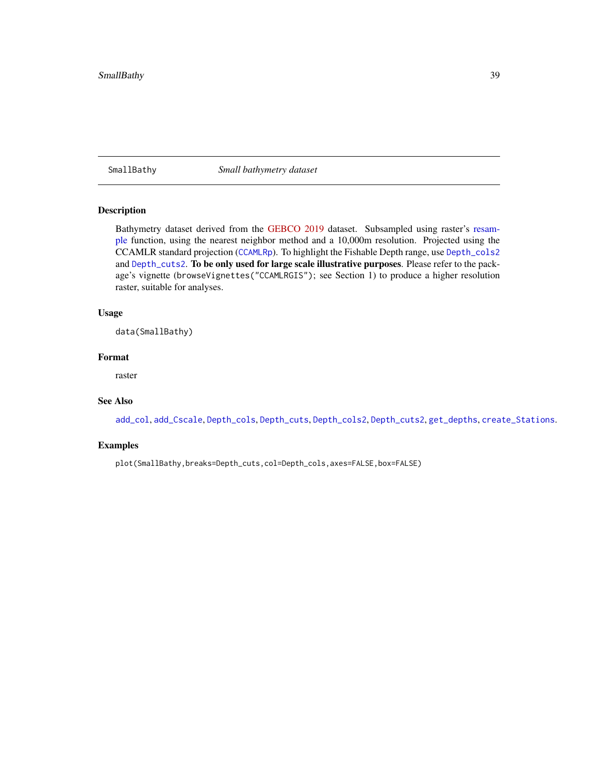<span id="page-38-1"></span><span id="page-38-0"></span>SmallBathy *Small bathymetry dataset*

#### Description

Bathymetry dataset derived from the [GEBCO 2019](http://www.gebco.net/) dataset. Subsampled using raster's [resam](#page-0-0)[ple](#page-0-0) function, using the nearest neighbor method and a 10,000m resolution. Projected using the CCAMLR standard projection ([CCAMLRp](#page-11-2)). To highlight the Fishable Depth range, use [Depth\\_cols2](#page-23-1) and [Depth\\_cuts2](#page-24-2). To be only used for large scale illustrative purposes. Please refer to the package's vignette (browseVignettes("CCAMLRGIS"); see Section 1) to produce a higher resolution raster, suitable for analyses.

#### Usage

data(SmallBathy)

#### Format

raster

### See Also

[add\\_col](#page-1-1), [add\\_Cscale](#page-3-1), [Depth\\_cols](#page-22-1), [Depth\\_cuts](#page-24-1), [Depth\\_cols2](#page-23-1), [Depth\\_cuts2](#page-24-2), [get\\_depths](#page-25-1), [create\\_Stations](#page-20-1).

### Examples

plot(SmallBathy,breaks=Depth\_cuts,col=Depth\_cols,axes=FALSE,box=FALSE)